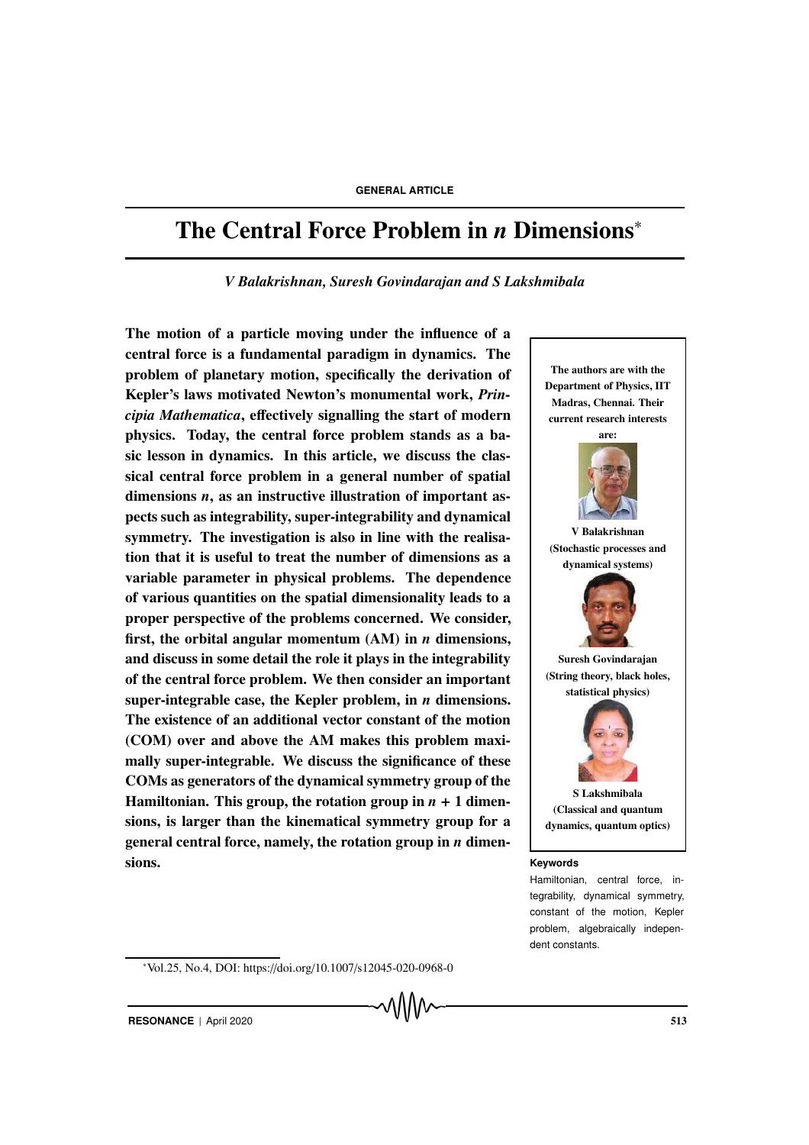# The Central Force Problem in *n* Dimensions<sup>∗</sup>

*V Balakrishnan, Suresh Govindarajan and S Lakshmibala*

The motion of a particle moving under the influence of a central force is a fundamental paradigm in dynamics. The problem of planetary motion, specifically the derivation of Kepler's laws motivated Newton's monumental work, *Principia Mathematica*, effectively signalling the start of modern physics. Today, the central force problem stands as a basic lesson in dynamics. In this article, we discuss the classical central force problem in a general number of spatial dimensions *n*, as an instructive illustration of important aspects such as integrability, super-integrability and dynamical symmetry. The investigation is also in line with the realisation that it is useful to treat the number of dimensions as a variable parameter in physical problems. The dependence of various quantities on the spatial dimensionality leads to a proper perspective of the problems concerned. We consider, first, the orbital angular momentum (AM) in *n* dimensions, and discuss in some detail the role it plays in the integrability of the central force problem. We then consider an important super-integrable case, the Kepler problem, in *n* dimensions. The existence of an additional vector constant of the motion (COM) over and above the AM makes this problem maximally super-integrable. We discuss the significance of these COMs as generators of the dynamical symmetry group of the Hamiltonian. This group, the rotation group in  $n + 1$  dimensions, is larger than the kinematical symmetry group for a general central force, namely, the rotation group in *n* dimensions. **Keywords**



tegrability, dynamical symmetry, constant of the motion, Kepler problem, algebraically independent constants.

<sup>∗</sup>Vol.25, No.4, DOI: https://doi.org/10.1007/s12045-020-0968-0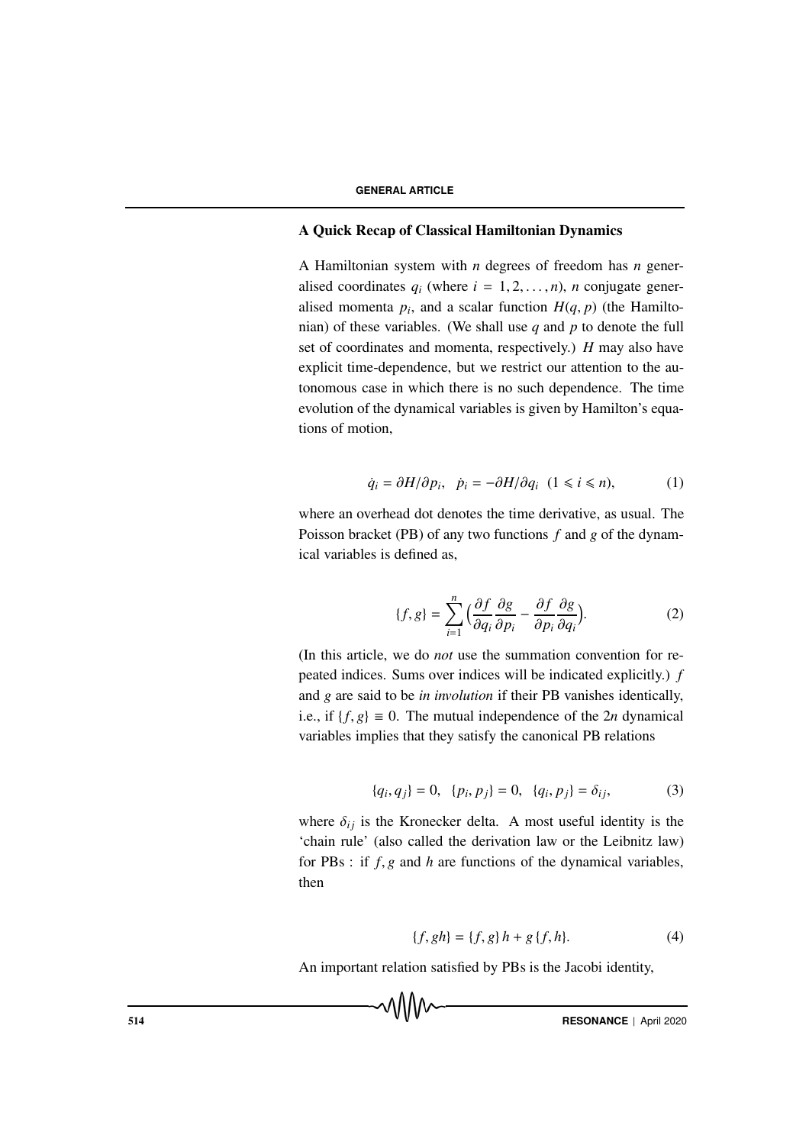### A Quick Recap of Classical Hamiltonian Dynamics

A Hamiltonian system with *n* degrees of freedom has *n* generalised coordinates  $q_i$  (where  $i = 1, 2, ..., n$ ), *n* conjugate generalised momenta  $p_i$ , and a scalar function  $H(q, p)$  (the Hamiltonian) of these variables. (We shall use *q* and *p* to denote the full set of coordinates and momenta, respectively.) *H* may also have explicit time-dependence, but we restrict our attention to the autonomous case in which there is no such dependence. The time evolution of the dynamical variables is given by Hamilton's equations of motion,

$$
\dot{q}_i = \partial H/\partial p_i, \quad \dot{p}_i = -\partial H/\partial q_i \quad (1 \leq i \leq n), \tag{1}
$$

where an overhead dot denotes the time derivative, as usual. The Poisson bracket (PB) of any two functions *f* and *g* of the dynamical variables is defined as,

$$
\{f,g\} = \sum_{i=1}^{n} \Big(\frac{\partial f}{\partial q_i}\frac{\partial g}{\partial p_i} - \frac{\partial f}{\partial p_i}\frac{\partial g}{\partial q_i}\Big). \tag{2}
$$

(In this article, we do *not* use the summation convention for repeated indices. Sums over indices will be indicated explicitly.) *f* and *g* are said to be *in involution* if their PB vanishes identically, i.e., if  $\{f, g\} \equiv 0$ . The mutual independence of the 2*n* dynamical variables implies that they satisfy the canonical PB relations

$$
\{q_i, q_j\} = 0, \quad \{p_i, p_j\} = 0, \quad \{q_i, p_j\} = \delta_{ij}, \tag{3}
$$

where  $\delta_{ij}$  is the Kronecker delta. A most useful identity is the 'chain rule' (also called the derivation law or the Leibnitz law) for PBs : if *f*, *g* and *h* are functions of the dynamical variables, then

$$
\{f, gh\} = \{f, g\}h + g\{f, h\}.
$$
 (4)

An important relation satisfied by PBs is the Jacobi identity,

**RESONANCE** | April 2020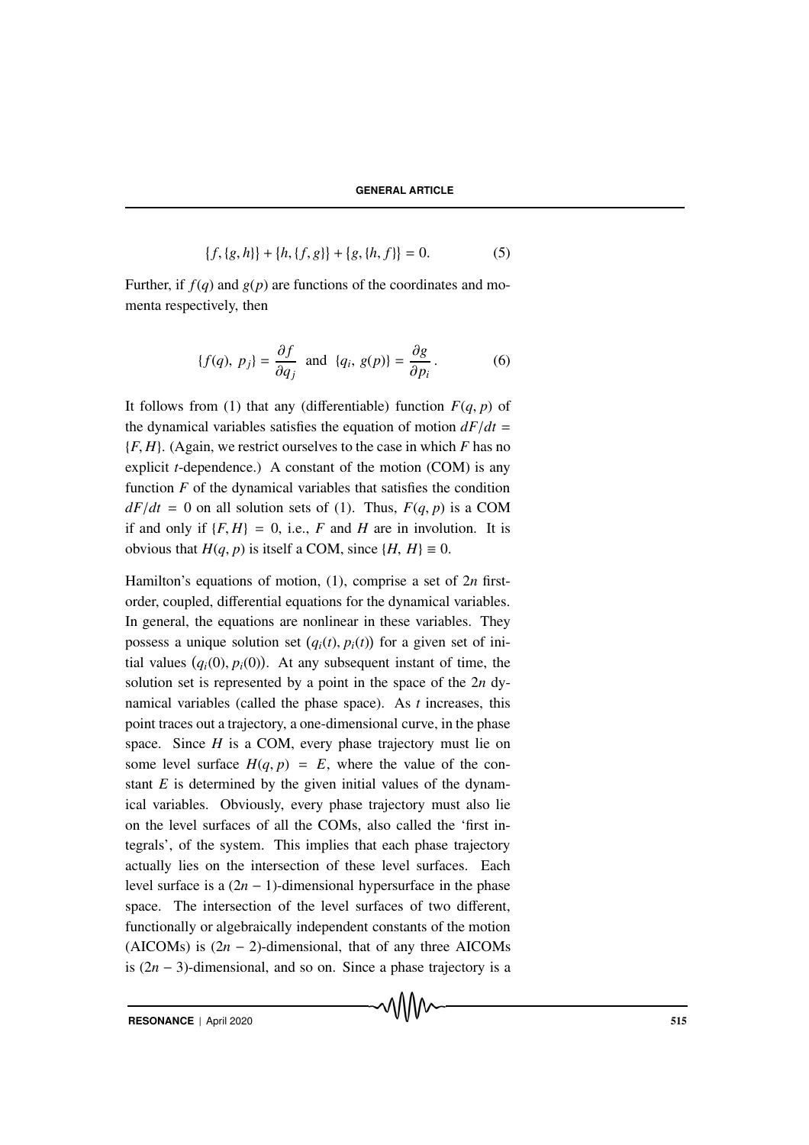$$
\{f, \{g, h\}\} + \{h, \{f, g\}\} + \{g, \{h, f\}\} = 0.
$$
 (5)

Further, if  $f(q)$  and  $g(p)$  are functions of the coordinates and momenta respectively, then

$$
\{f(q),\ p_j\} = \frac{\partial f}{\partial q_j} \text{ and } \{q_i,\ g(p)\} = \frac{\partial g}{\partial p_i}.
$$
 (6)

It follows from (1) that any (differentiable) function  $F(q, p)$  of the dynamical variables satisfies the equation of motion  $dF/dt$ {*F*, *H*}. (Again, we restrict ourselves to the case in which *F* has no explicit *t*-dependence.) A constant of the motion (COM) is any function *F* of the dynamical variables that satisfies the condition  $dF/dt = 0$  on all solution sets of (1). Thus,  $F(q, p)$  is a COM if and only if  ${F, H} = 0$ , i.e., *F* and *H* are in involution. It is obvious that *H*(*q*, *p*) is itself a COM, since {*H*, *H*}  $\equiv$  0.

Hamilton's equations of motion, (1), comprise a set of 2*n* firstorder, coupled, differential equations for the dynamical variables. In general, the equations are nonlinear in these variables. They possess a unique solution set  $(q<sub>i</sub>(t), p<sub>i</sub>(t))$  for a given set of initial values  $(q_i(0), p_i(0))$ . At any subsequent instant of time, the solution set is represented by a point in the space of the 2*n* dynamical variables (called the phase space). As *t* increases, this point traces out a trajectory, a one-dimensional curve, in the phase space. Since *H* is a COM, every phase trajectory must lie on some level surface  $H(q, p) = E$ , where the value of the constant *E* is determined by the given initial values of the dynamical variables. Obviously, every phase trajectory must also lie on the level surfaces of all the COMs, also called the 'first integrals', of the system. This implies that each phase trajectory actually lies on the intersection of these level surfaces. Each level surface is a  $(2n - 1)$ -dimensional hypersurface in the phase space. The intersection of the level surfaces of two different, functionally or algebraically independent constants of the motion (AICOMs) is  $(2n - 2)$ -dimensional, that of any three AICOMs is  $(2n - 3)$ -dimensional, and so on. Since a phase trajectory is a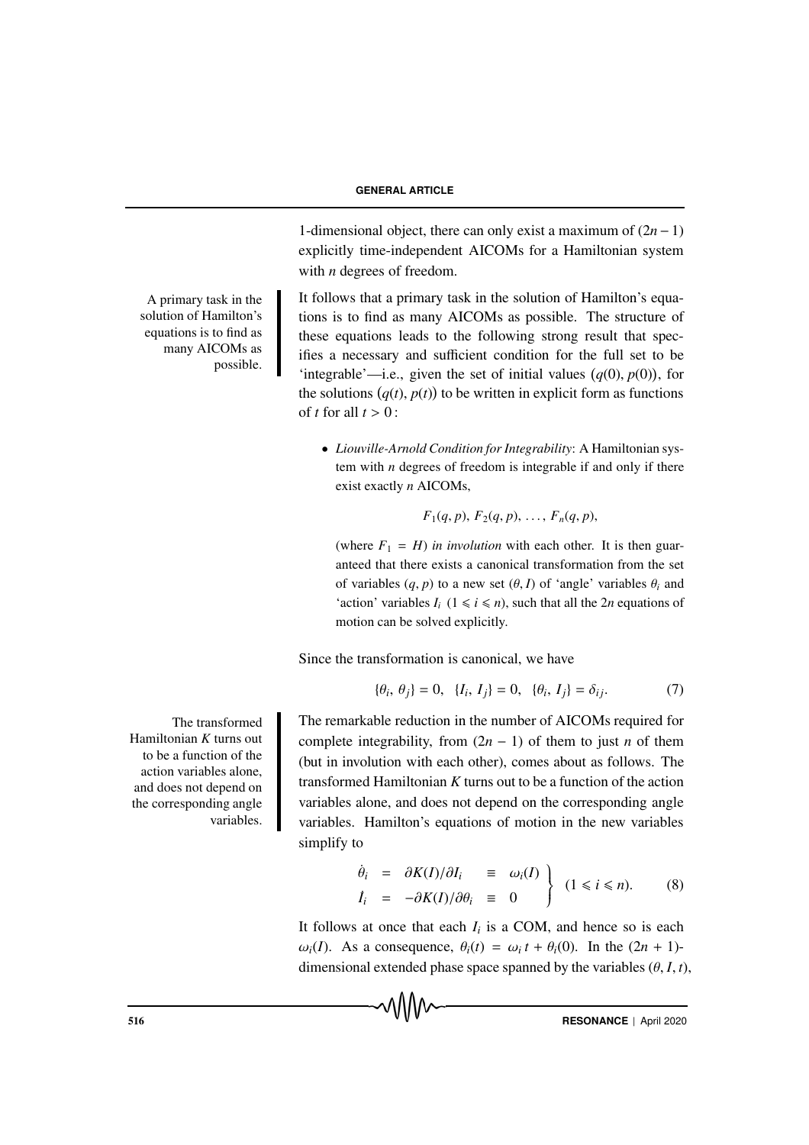1-dimensional object, there can only exist a maximum of (2*n*−1) explicitly time-independent AICOMs for a Hamiltonian system with *n* degrees of freedom.

It follows that a primary task in the solution of Hamilton's equations is to find as many AICOMs as possible. The structure of these equations leads to the following strong result that specifies a necessary and sufficient condition for the full set to be 'integrable'—i.e., given the set of initial values  $(q(0), p(0))$ , for the solutions  $(q(t), p(t))$  to be written in explicit form as functions of *t* for all  $t > 0$ :

• *Liouville-Arnold Condition for Integrability*: A Hamiltonian system with *n* degrees of freedom is integrable if and only if there exist exactly *n* AICOMs,

 $F_1(q, p), F_2(q, p), \ldots, F_n(q, p),$ 

(where  $F_1 = H$ ) *in involution* with each other. It is then guaranteed that there exists a canonical transformation from the set of variables  $(q, p)$  to a new set  $(\theta, I)$  of 'angle' variables  $\theta_i$  and 'action' variables  $I_i$  ( $1 \le i \le n$ ), such that all the 2*n* equations of motion can be solved explicitly.

Since the transformation is canonical, we have

$$
\{\theta_i, \theta_j\} = 0, \ \{I_i, I_j\} = 0, \ \{\theta_i, I_j\} = \delta_{ij}.\tag{7}
$$

The remarkable reduction in the number of AICOMs required for complete integrability, from  $(2n - 1)$  of them to just *n* of them (but in involution with each other), comes about as follows. The transformed Hamiltonian *K* turns out to be a function of the action variables alone, and does not depend on the corresponding angle variables. Hamilton's equations of motion in the new variables simplify to

$$
\begin{array}{rcl}\n\dot{\theta}_i & = & \partial K(I)/\partial I_i & \equiv & \omega_i(I) \\
I_i & = & -\partial K(I)/\partial \theta_i & \equiv & 0\n\end{array}\n\bigg\} \quad (1 \leq i \leq n). \tag{8}
$$

It follows at once that each  $I_i$  is a COM, and hence so is each ω*<sub>i</sub>*(*I*). As a consequence,  $θ_i(t) = ω_i t + θ_i(0)$ . In the  $(2n + 1)$ dimensional extended phase space spanned by the variables  $(\theta, I, t)$ ,

MMM

516 **RESONANCE** | April 2020

The transformed Hamiltonian *K* turns out to be a function of the action variables alone, and does not depend on the corresponding angle variables.

A primary task in the solution of Hamilton's equations is to find as many AICOMs as

possible.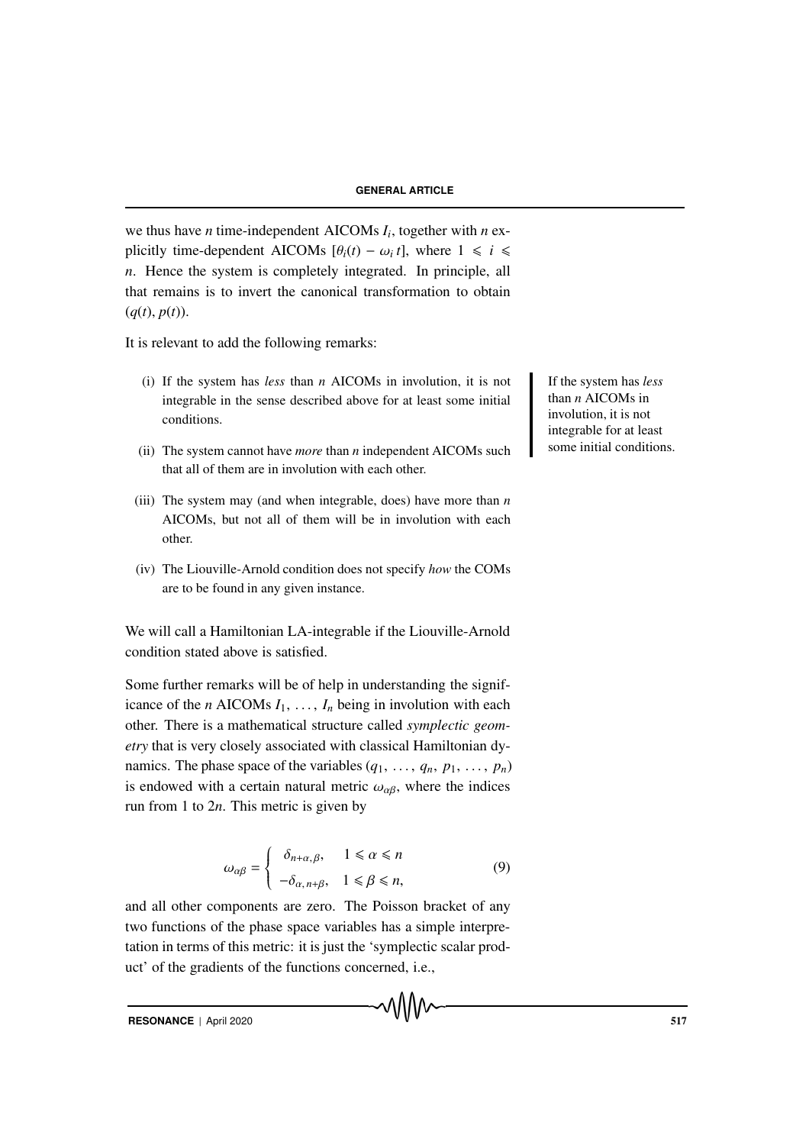we thus have *n* time-independent AICOMs *Ii*, together with *n* explicitly time-dependent AICOMs  $[\theta_i(t) - \omega_i t]$ , where  $1 \le i \le n$ *n*. Hence the system is completely integrated. In principle, all that remains is to invert the canonical transformation to obtain  $(q(t), p(t)).$ 

It is relevant to add the following remarks:

- (i) If the system has *less* than *n* AICOMs in involution, it is not If the system has *less* integrable in the sense described above for at least some initial conditions.
- (ii) The system cannot have *more* than *n* independent AICOMs such that all of them are in involution with each other.
- (iii) The system may (and when integrable, does) have more than *n* AICOMs, but not all of them will be in involution with each other.
- (iv) The Liouville-Arnold condition does not specify *how* the COMs are to be found in any given instance.

We will call a Hamiltonian LA-integrable if the Liouville-Arnold condition stated above is satisfied.

Some further remarks will be of help in understanding the significance of the *n* AICOMs  $I_1, \ldots, I_n$  being in involution with each other. There is a mathematical structure called *symplectic geometry* that is very closely associated with classical Hamiltonian dynamics. The phase space of the variables  $(q_1, \ldots, q_n, p_1, \ldots, p_n)$ is endowed with a certain natural metric  $\omega_{\alpha\beta}$ , where the indices run from 1 to 2*n*. This metric is given by

$$
\omega_{\alpha\beta} = \begin{cases}\n\delta_{n+\alpha,\beta}, & 1 \leq \alpha \leq n \\
-\delta_{\alpha,n+\beta}, & 1 \leq \beta \leq n,\n\end{cases}
$$
\n(9)

and all other components are zero. The Poisson bracket of any two functions of the phase space variables has a simple interpretation in terms of this metric: it is just the 'symplectic scalar product' of the gradients of the functions concerned, i.e.,

**RESONANCE** | April 2020 517

than *n* AICOMs in involution, it is not integrable for at least some initial conditions.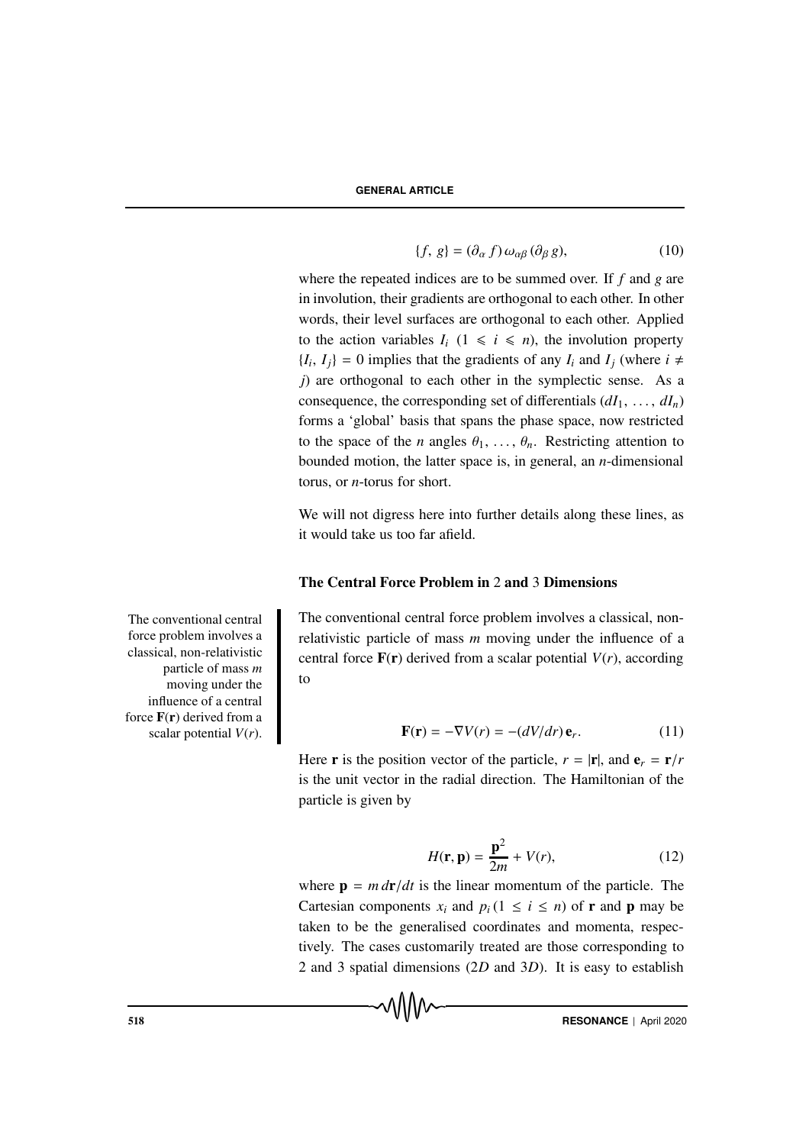$$
\{f, g\} = (\partial_{\alpha} f) \,\omega_{\alpha\beta} \, (\partial_{\beta} g),\tag{10}
$$

where the repeated indices are to be summed over. If *f* and *g* are in involution, their gradients are orthogonal to each other. In other words, their level surfaces are orthogonal to each other. Applied to the action variables  $I_i$  ( $1 \le i \le n$ ), the involution property  ${I_i, I_j} = 0$  implies that the gradients of any  $I_i$  and  $I_j$  (where  $i \neq j$ *j*) are orthogonal to each other in the symplectic sense. As a consequence, the corresponding set of differentials  $(dI_1, \ldots, dI_n)$ forms a 'global' basis that spans the phase space, now restricted to the space of the *n* angles  $\theta_1, \ldots, \theta_n$ . Restricting attention to bounded motion, the latter space is, in general, an *n*-dimensional torus, or *n*-torus for short.

We will not digress here into further details along these lines, as it would take us too far afield.

# The Central Force Problem in 2 and 3 Dimensions

The conventional central force problem involves a classical, nonrelativistic particle of mass *m* moving under the influence of a central force  $\mathbf{F}(\mathbf{r})$  derived from a scalar potential  $V(r)$ , according to

$$
\mathbf{F}(\mathbf{r}) = -\nabla V(r) = -(dV/dr)\,\mathbf{e}_r. \tag{11}
$$

Here **r** is the position vector of the particle,  $r = |\mathbf{r}|$ , and  $\mathbf{e}_r = \mathbf{r}/r$ is the unit vector in the radial direction. The Hamiltonian of the particle is given by

$$
H(\mathbf{r}, \mathbf{p}) = \frac{\mathbf{p}^2}{2m} + V(r),\tag{12}
$$

where  $\mathbf{p} = m \, dr/dt$  is the linear momentum of the particle. The Cartesian components  $x_i$  and  $p_i$  ( $1 \le i \le n$ ) of **r** and **p** may be taken to be the generalised coordinates and momenta, respectively. The cases customarily treated are those corresponding to 2 and 3 spatial dimensions (2*D* and 3*D*). It is easy to establish

The conventional central force problem involves a classical, non-relativistic particle of mass *m* moving under the influence of a central force  $F(r)$  derived from a scalar potential *V*(*r*).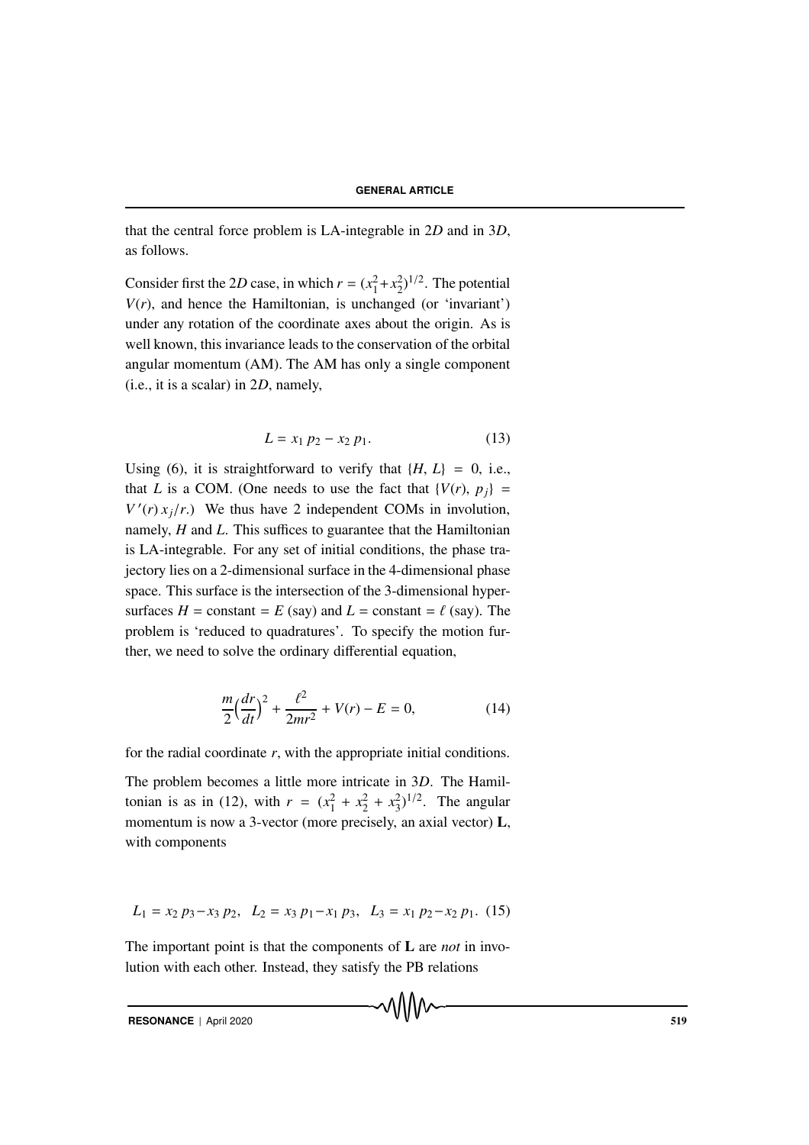that the central force problem is LA-integrable in 2*D* and in 3*D*, as follows.

Consider first the 2*D* case, in which  $r = (x_1^2 + x_2^2)^{1/2}$ . The potential  $V(r)$ , and hence the Hamiltonian, is unchanged (or 'invariant') under any rotation of the coordinate axes about the origin. As is well known, this invariance leads to the conservation of the orbital angular momentum (AM). The AM has only a single component (i.e., it is a scalar) in 2*D*, namely,

$$
L = x_1 p_2 - x_2 p_1. \tag{13}
$$

Using (6), it is straightforward to verify that  $\{H, L\} = 0$ , i.e., that *L* is a COM. (One needs to use the fact that  ${V(r), p_i}$  =  $V'(r) x_j/r$ .) We thus have 2 independent COMs in involution, namely, *H* and *L*. This suffices to guarantee that the Hamiltonian is LA-integrable. For any set of initial conditions, the phase trajectory lies on a 2-dimensional surface in the 4-dimensional phase space. This surface is the intersection of the 3-dimensional hypersurfaces  $H = \text{constant} = E \text{ (say)}$  and  $L = \text{constant} = \ell \text{ (say)}$ . The problem is 'reduced to quadratures'. To specify the motion further, we need to solve the ordinary differential equation,

$$
\frac{m}{2}\left(\frac{dr}{dt}\right)^2 + \frac{\ell^2}{2mr^2} + V(r) - E = 0,\tag{14}
$$

for the radial coordinate *r*, with the appropriate initial conditions.

The problem becomes a little more intricate in 3*D*. The Hamiltonian is as in (12), with  $r = (x_1^2 + x_2^2 + x_3^2)^{1/2}$ . The angular momentum is now a 3-vector (more precisely, an axial vector) **L**, with components

$$
L_1 = x_2 p_3 - x_3 p_2, \ L_2 = x_3 p_1 - x_1 p_3, \ L_3 = x_1 p_2 - x_2 p_1. (15)
$$

The important point is that the components of L are *not* in involution with each other. Instead, they satisfy the PB relations

**RESONANCE** | April 2020 519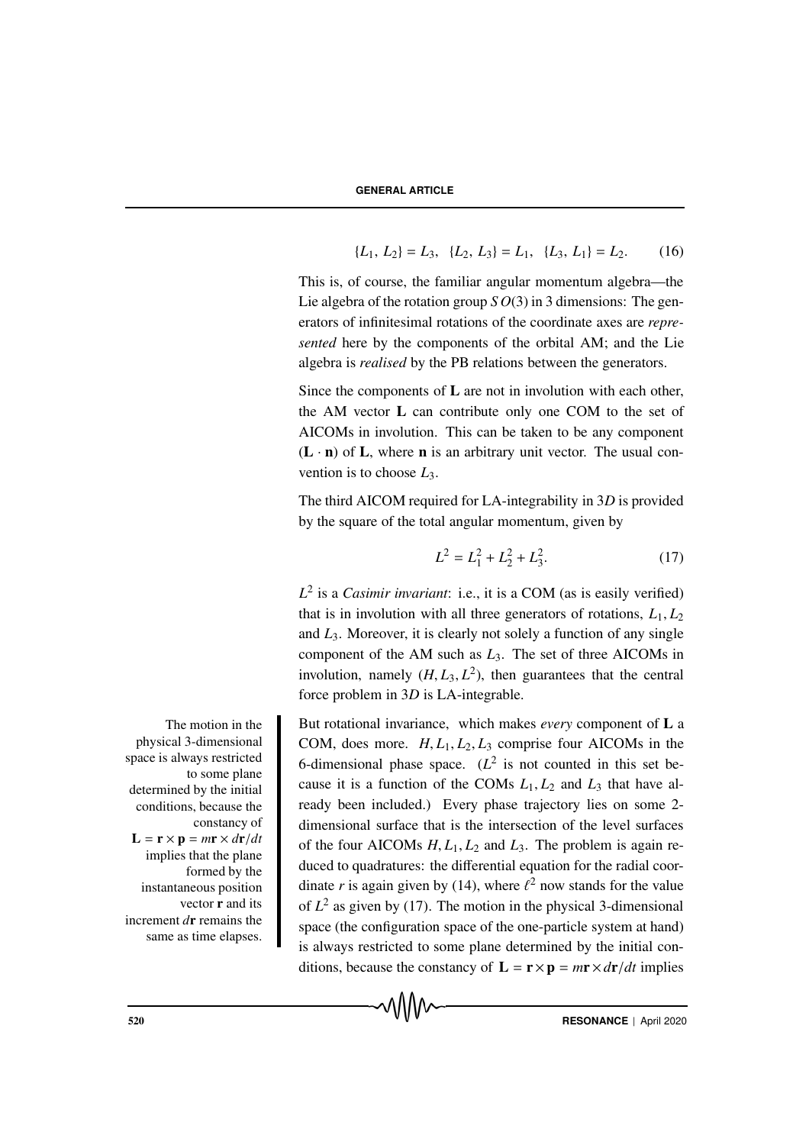$$
\{L_1, L_2\} = L_3, \quad \{L_2, L_3\} = L_1, \quad \{L_3, L_1\} = L_2. \tag{16}
$$

This is, of course, the familiar angular momentum algebra—the Lie algebra of the rotation group *S O*(3) in 3 dimensions: The generators of infinitesimal rotations of the coordinate axes are *represented* here by the components of the orbital AM; and the Lie algebra is *realised* by the PB relations between the generators.

Since the components of  $L$  are not in involution with each other, the AM vector L can contribute only one COM to the set of AICOMs in involution. This can be taken to be any component  $(L \cdot n)$  of L, where n is an arbitrary unit vector. The usual convention is to choose *L*3.

The third AICOM required for LA-integrability in 3*D* is provided by the square of the total angular momentum, given by

$$
L^2 = L_1^2 + L_2^2 + L_3^2. \tag{17}
$$

*L*<sup>2</sup> is a *Casimir invariant*: i.e., it is a COM (as is easily verified) that is in involution with all three generators of rotations,  $L_1, L_2$ and *L*3. Moreover, it is clearly not solely a function of any single component of the AM such as *L*3. The set of three AICOMs in involution, namely  $(H, L_3, L^2)$ , then guarantees that the central force problem in 3*D* is LA-integrable.

The motion in the **But rotational invariance**, which makes *every* component of **L** a COM, does more.  $H, L_1, L_2, L_3$  comprise four AICOMs in the 6-dimensional phase space.  $(L^2$  is not counted in this set because it is a function of the COMs  $L_1, L_2$  and  $L_3$  that have already been included.) Every phase trajectory lies on some 2 dimensional surface that is the intersection of the level surfaces of the four AICOMs  $H, L_1, L_2$  and  $L_3$ . The problem is again reduced to quadratures: the differential equation for the radial coordinate *r* is again given by (14), where  $\ell^2$  now stands for the value of  $L^2$  as given by (17). The motion in the physical 3-dimensional space (the configuration space of the one-particle system at hand) is always restricted to some plane determined by the initial conditions, because the constancy of  $\mathbf{L} = \mathbf{r} \times \mathbf{p} = m\mathbf{r} \times d\mathbf{r}/dt$  implies

physical 3-dimensional space is always restricted to some plane determined by the initial conditions, because the constancy of  $L = \mathbf{r} \times \mathbf{p} = m\mathbf{r} \times d\mathbf{r}/dt$ implies that the plane formed by the instantaneous position vector r and its increment *d*r remains the same as time elapses.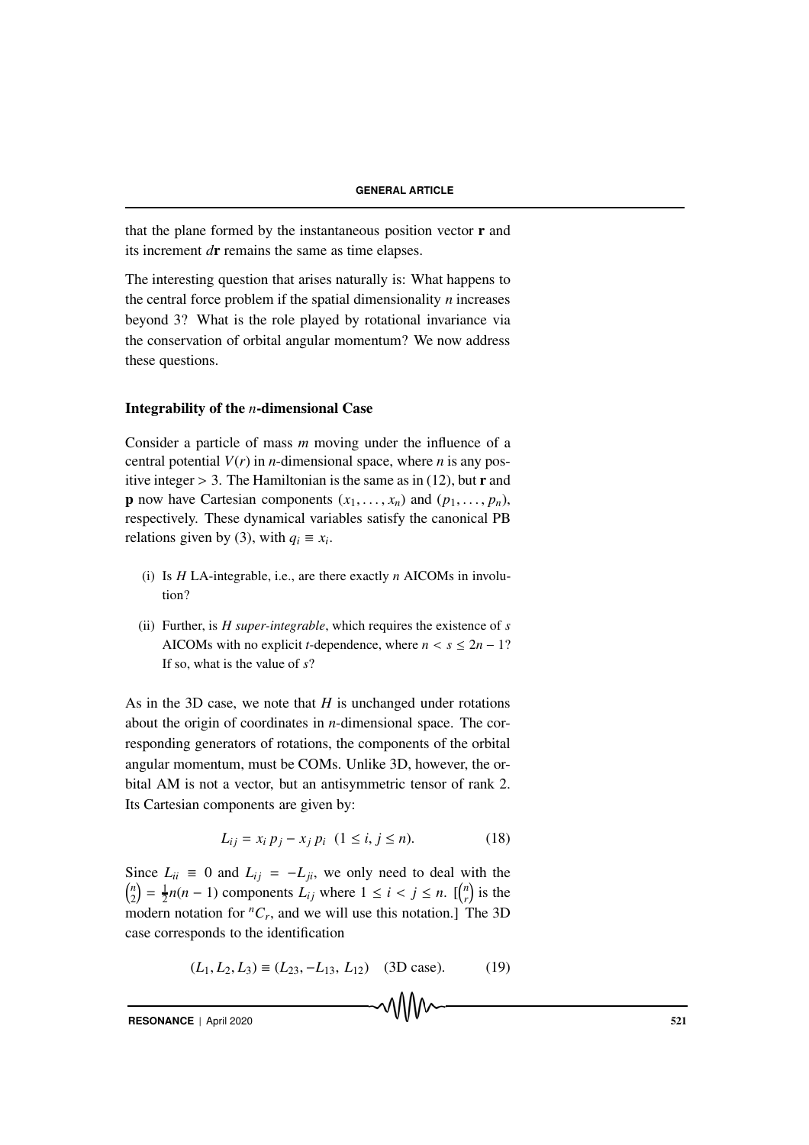that the plane formed by the instantaneous position vector  $\mathbf r$  and its increment *d*r remains the same as time elapses.

The interesting question that arises naturally is: What happens to the central force problem if the spatial dimensionality *n* increases beyond 3? What is the role played by rotational invariance via the conservation of orbital angular momentum? We now address these questions.

# Integrability of the *n*-dimensional Case

Consider a particle of mass *m* moving under the influence of a central potential  $V(r)$  in *n*-dimensional space, where *n* is any positive integer  $> 3$ . The Hamiltonian is the same as in (12), but **r** and **p** now have Cartesian components  $(x_1, \ldots, x_n)$  and  $(p_1, \ldots, p_n)$ , respectively. These dynamical variables satisfy the canonical PB relations given by (3), with  $q_i \equiv x_i$ .

- (i) Is *H* LA-integrable, i.e., are there exactly *n* AICOMs in involution?
- (ii) Further, is *H super-integrable*, which requires the existence of *s* AICOMs with no explicit *t*-dependence, where  $n < s \le 2n - 1$ ? If so, what is the value of *s*?

As in the 3D case, we note that *H* is unchanged under rotations about the origin of coordinates in *n*-dimensional space. The corresponding generators of rotations, the components of the orbital angular momentum, must be COMs. Unlike 3D, however, the orbital AM is not a vector, but an antisymmetric tensor of rank 2. Its Cartesian components are given by:

$$
L_{ij} = x_i p_j - x_j p_i \ (1 \le i, j \le n). \tag{18}
$$

Since  $L_{ii} \equiv 0$  and  $L_{ij} = -L_{ji}$ , we only need to deal with the *n*  $\binom{n}{2} = \frac{1}{2}n(n-1)$  components  $L_{ij}$  where  $1 \le i \le j \le n$ .  $\binom{n}{r}$  $\binom{n}{r}$  is the modern notation for  ${}^nC_r$ , and we will use this notation.] The 3D case corresponds to the identification

$$
(L_1, L_2, L_3) \equiv (L_{23}, -L_{13}, L_{12}) \quad (3D case). \tag{19}
$$

```
RESONANCE | April 2020 521
```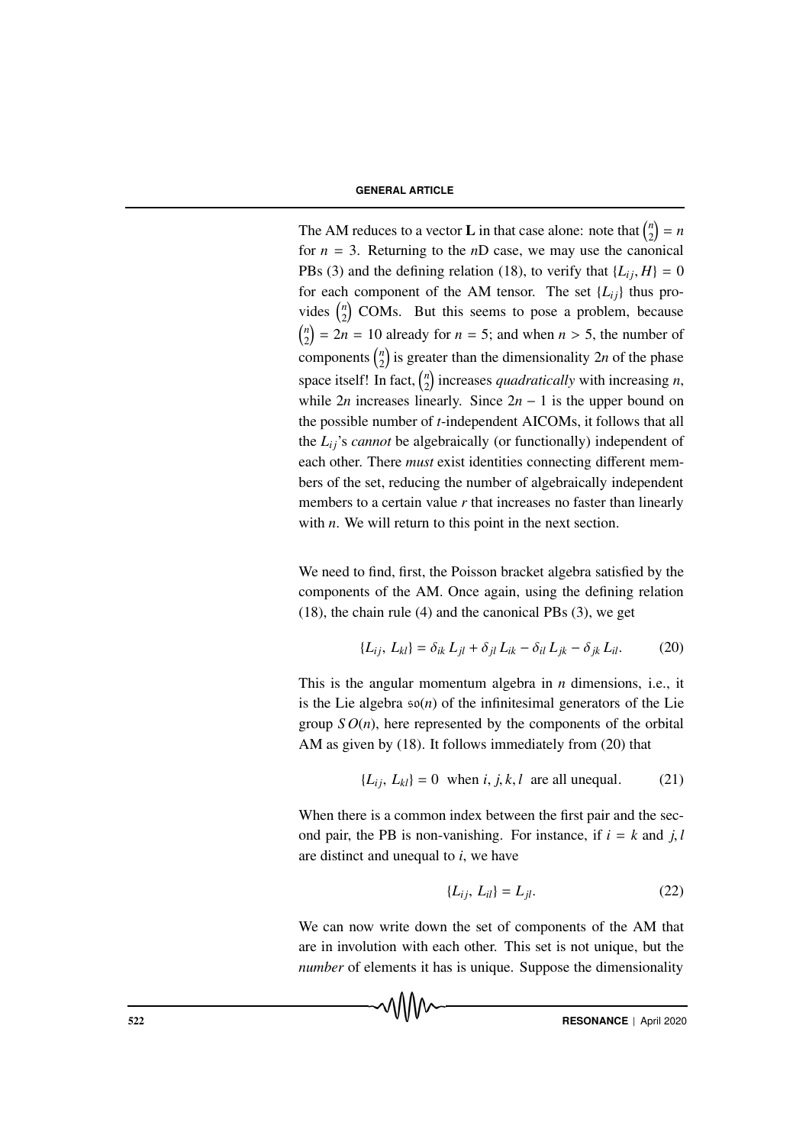# **GENERAL ARTICLE**

The AM reduces to a vector **L** in that case alone: note that  $\binom{n}{2}$  $\binom{n}{2} = n$ for  $n = 3$ . Returning to the *n*D case, we may use the canonical PBs (3) and the defining relation (18), to verify that  $\{L_{ij}, H\} = 0$ for each component of the AM tensor. The set  $\{L_{ii}\}\$ thus provides  $\binom{n}{2}$  $\binom{n}{2}$  COMs. But this seems to pose a problem, because *n*  $\binom{n}{2}$  = 2*n* = 10 already for *n* = 5; and when *n* > 5, the number of components  $\binom{n}{2}$  $\binom{n}{2}$  is greater than the dimensionality 2*n* of the phase space itself! In fact,  $\binom{n}{2}$  $\binom{n}{2}$  increases *quadratically* with increasing *n*, while 2*n* increases linearly. Since  $2n - 1$  is the upper bound on the possible number of *t*-independent AICOMs, it follows that all the *Li j*'s *cannot* be algebraically (or functionally) independent of each other. There *must* exist identities connecting different members of the set, reducing the number of algebraically independent members to a certain value *r* that increases no faster than linearly with *n*. We will return to this point in the next section.

We need to find, first, the Poisson bracket algebra satisfied by the components of the AM. Once again, using the defining relation (18), the chain rule (4) and the canonical PBs (3), we get

$$
\{L_{ij}, L_{kl}\} = \delta_{ik} L_{jl} + \delta_{jl} L_{ik} - \delta_{il} L_{jk} - \delta_{jk} L_{il}.
$$
 (20)

This is the angular momentum algebra in *n* dimensions, i.e., it is the Lie algebra  $\mathfrak{so}(n)$  of the infinitesimal generators of the Lie group  $SO(n)$ , here represented by the components of the orbital AM as given by (18). It follows immediately from (20) that

$$
\{L_{ij}, L_{kl}\} = 0 \text{ when } i, j, k, l \text{ are all unequal.} \tag{21}
$$

When there is a common index between the first pair and the second pair, the PB is non-vanishing. For instance, if  $i = k$  and  $j, l$ are distinct and unequal to *i*, we have

$$
\{L_{ij}, L_{il}\} = L_{jl}.\tag{22}
$$

We can now write down the set of components of the AM that are in involution with each other. This set is not unique, but the *number* of elements it has is unique. Suppose the dimensionality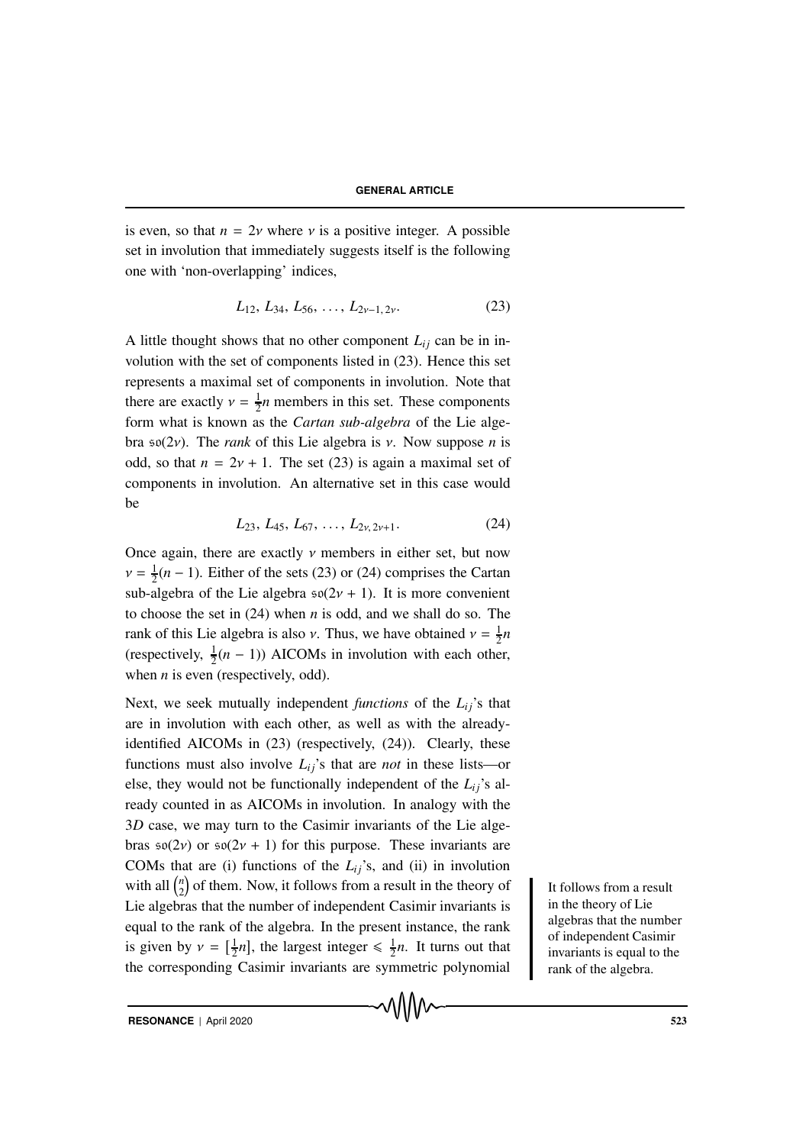is even, so that  $n = 2v$  where v is a positive integer. A possible set in involution that immediately suggests itself is the following one with 'non-overlapping' indices,

$$
L_{12}, L_{34}, L_{56}, \ldots, L_{2\nu-1, 2\nu}.\tag{23}
$$

A little thought shows that no other component  $L_{ij}$  can be in involution with the set of components listed in (23). Hence this set represents a maximal set of components in involution. Note that there are exactly  $v = \frac{1}{2}n$  members in this set. These components form what is known as the *Cartan sub-algebra* of the Lie algebra so(2ν). The *rank* of this Lie algebra is ν. Now suppose *n* is odd, so that  $n = 2v + 1$ . The set (23) is again a maximal set of components in involution. An alternative set in this case would be

$$
L_{23}, L_{45}, L_{67}, \ldots, L_{2v, 2v+1}.\tag{24}
$$

Once again, there are exactly  $\nu$  members in either set, but now  $v = \frac{1}{2}(n-1)$ . Either of the sets (23) or (24) comprises the Cartan sub-algebra of the Lie algebra  $\mathfrak{so}(2\nu + 1)$ . It is more convenient to choose the set in (24) when *n* is odd, and we shall do so. The rank of this Lie algebra is also *ν*. Thus, we have obtained  $v = \frac{1}{2}n$ (respectively,  $\frac{1}{2}(n-1)$ ) AICOMs in involution with each other, when *n* is even (respectively, odd).

Next, we seek mutually independent *functions* of the  $L_{ij}$ 's that are in involution with each other, as well as with the alreadyidentified AICOMs in (23) (respectively, (24)). Clearly, these functions must also involve  $L_{ij}$ 's that are *not* in these lists—or else, they would not be functionally independent of the  $L_i$ <sup>'</sup>s already counted in as AICOMs in involution. In analogy with the 3*D* case, we may turn to the Casimir invariants of the Lie algebras  $\mathfrak{so}(2\nu)$  or  $\mathfrak{so}(2\nu+1)$  for this purpose. These invariants are COMs that are (i) functions of the  $L_{ij}$ 's, and (ii) in involution with all  $\binom{n}{2}$  $\binom{n}{2}$  of them. Now, it follows from a result in the theory of It follows from a result Lie algebras that the number of independent Casimir invariants is equal to the rank of the algebra. In the present instance, the rank is given by  $v = \left[\frac{1}{2}n\right]$ , the largest integer  $\leq \frac{1}{2}n$ . It turns out that the corresponding Casimir invariants are symmetric polynomial

in the theory of Lie algebras that the number of independent Casimir invariants is equal to the rank of the algebra.

**RESONANCE** | April 2020 523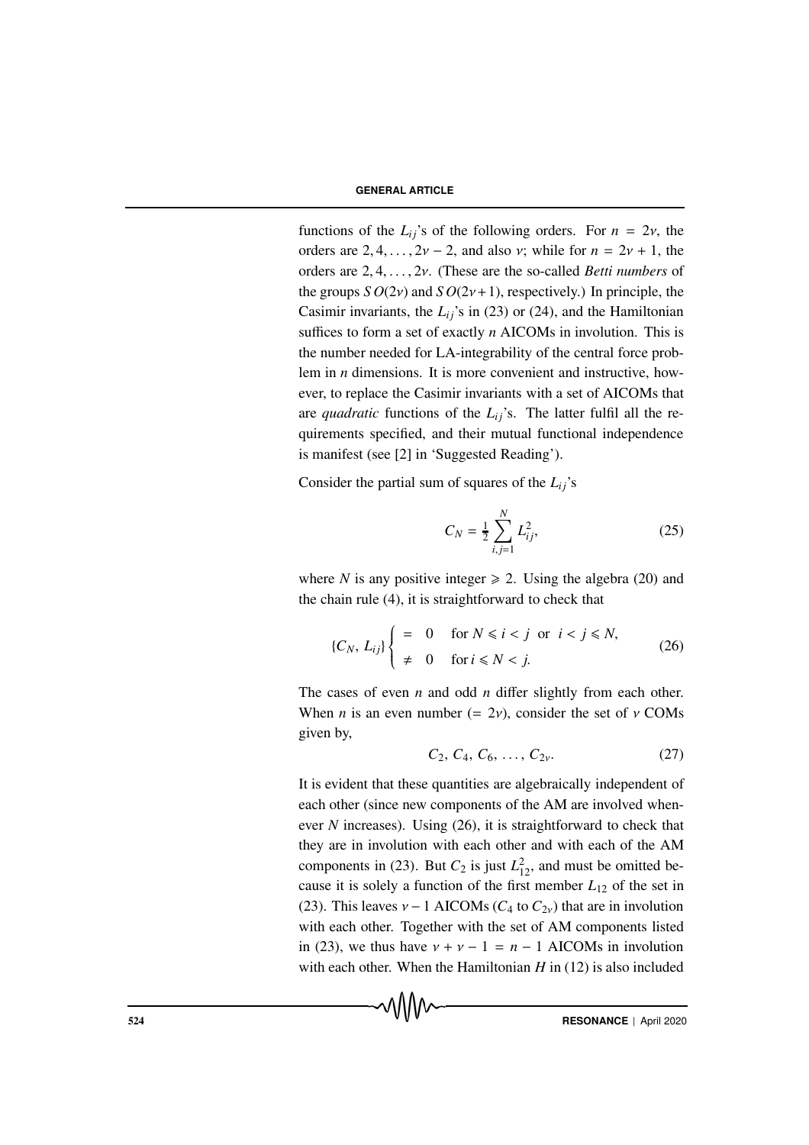functions of the  $L_{ii}$ 's of the following orders. For  $n = 2v$ , the orders are  $2, 4, \ldots, 2\nu - 2$ , and also  $\nu$ ; while for  $n = 2\nu + 1$ , the orders are 2, 4,..., 2ν. (These are the so-called *Betti numbers* of the groups  $SO(2v)$  and  $SO(2v+1)$ , respectively.) In principle, the Casimir invariants, the  $L_{ij}$ 's in (23) or (24), and the Hamiltonian suffices to form a set of exactly *n* AICOMs in involution. This is the number needed for LA-integrability of the central force problem in *n* dimensions. It is more convenient and instructive, however, to replace the Casimir invariants with a set of AICOMs that are *quadratic* functions of the  $L_{ij}$ 's. The latter fulfil all the requirements specified, and their mutual functional independence is manifest (see [2] in 'Suggested Reading').

Consider the partial sum of squares of the  $L_{ij}$ 's

$$
C_N = \frac{1}{2} \sum_{i,j=1}^N L_{ij}^2,
$$
 (25)

where *N* is any positive integer  $\ge 2$ . Using the algebra (20) and the chain rule (4), it is straightforward to check that

$$
\{C_N, L_{ij}\} \begin{cases}\n= & 0 \quad \text{for } N \leq i < j \quad \text{or} \quad i < j \leq N, \\
\neq & 0 \quad \text{for } i \leq N < j.\n\end{cases}\n\tag{26}
$$

The cases of even *n* and odd *n* differ slightly from each other. When *n* is an even number (=  $2v$ ), consider the set of  $v$  COMs given by,

$$
C_2, C_4, C_6, \ldots, C_{2v}.
$$
 (27)

It is evident that these quantities are algebraically independent of each other (since new components of the AM are involved whenever *N* increases). Using (26), it is straightforward to check that they are in involution with each other and with each of the AM components in (23). But  $C_2$  is just  $L_{12}^2$ , and must be omitted because it is solely a function of the first member  $L_{12}$  of the set in (23). This leaves  $v - 1$  AICOMs ( $C_4$  to  $C_{2v}$ ) that are in involution with each other. Together with the set of AM components listed in (23), we thus have  $v + v - 1 = n - 1$  AICOMs in involution with each other. When the Hamiltonian *H* in (12) is also included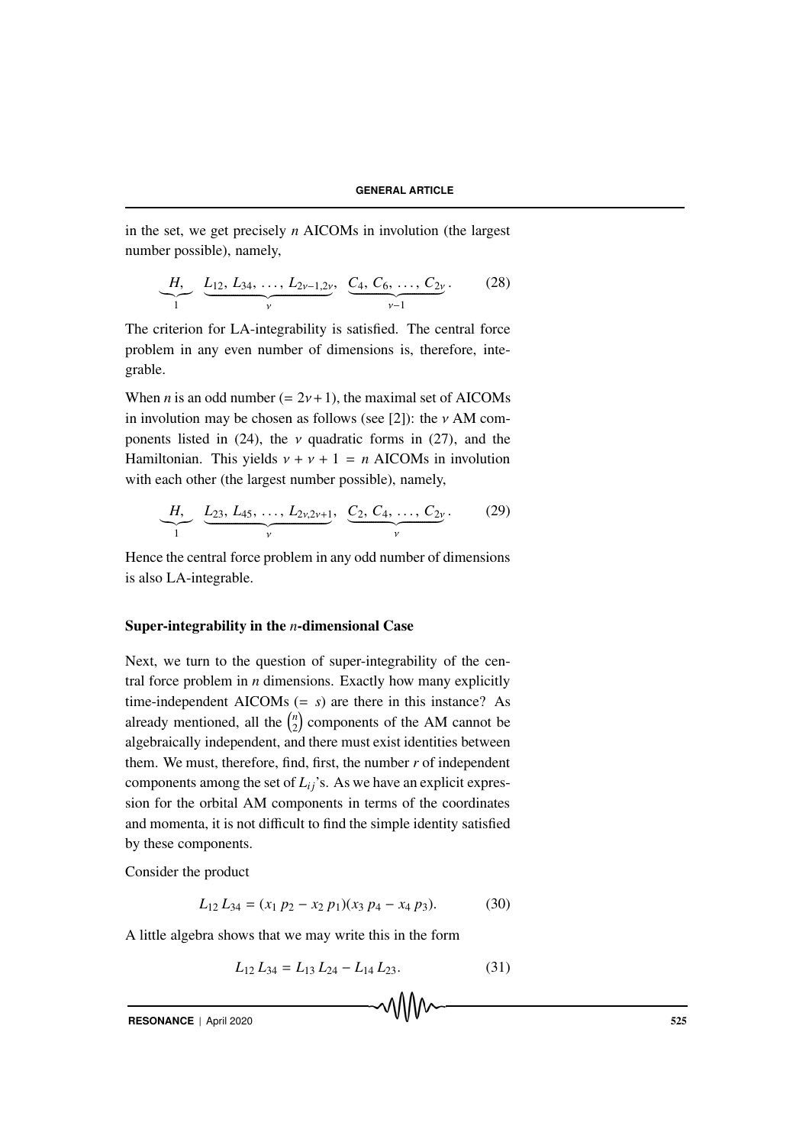in the set, we get precisely *n* AICOMs in involution (the largest number possible), namely,

$$
\underbrace{H,}_{1} \underbrace{L_{12}, L_{34}, \dots, L_{2\nu-1,2\nu}}_{\nu}, \underbrace{C_4, C_6, \dots, C_{2\nu}}_{\nu-1}.
$$
 (28)

The criterion for LA-integrability is satisfied. The central force problem in any even number of dimensions is, therefore, integrable.

When *n* is an odd number  $(= 2v + 1)$ , the maximal set of AICOMs in involution may be chosen as follows (see [2]): the  $\nu$  AM components listed in (24), the  $\nu$  quadratic forms in (27), and the Hamiltonian. This yields  $v + v + 1 = n$  AICOMs in involution with each other (the largest number possible), namely,

$$
\underbrace{H,}_{1} \underbrace{L_{23}, L_{45}, \ldots, L_{2v,2v+1}}_{v}, \underbrace{C_2, C_4, \ldots, C_{2v}}_{v}.
$$
 (29)

Hence the central force problem in any odd number of dimensions is also LA-integrable.

## Super-integrability in the *n*-dimensional Case

Next, we turn to the question of super-integrability of the central force problem in *n* dimensions. Exactly how many explicitly time-independent AICOMs  $(= s)$  are there in this instance? As already mentioned, all the  $\binom{n}{2}$  $\binom{n}{2}$  components of the AM cannot be algebraically independent, and there must exist identities between them. We must, therefore, find, first, the number *r* of independent components among the set of  $L_{ij}$ 's. As we have an explicit expression for the orbital AM components in terms of the coordinates and momenta, it is not difficult to find the simple identity satisfied by these components.

Consider the product

$$
L_{12} L_{34} = (x_1 p_2 - x_2 p_1)(x_3 p_4 - x_4 p_3). \tag{30}
$$

A little algebra shows that we may write this in the form

$$
L_{12} L_{34} = L_{13} L_{24} - L_{14} L_{23}.
$$
 (31)

**RESONANCE** | April 2020 525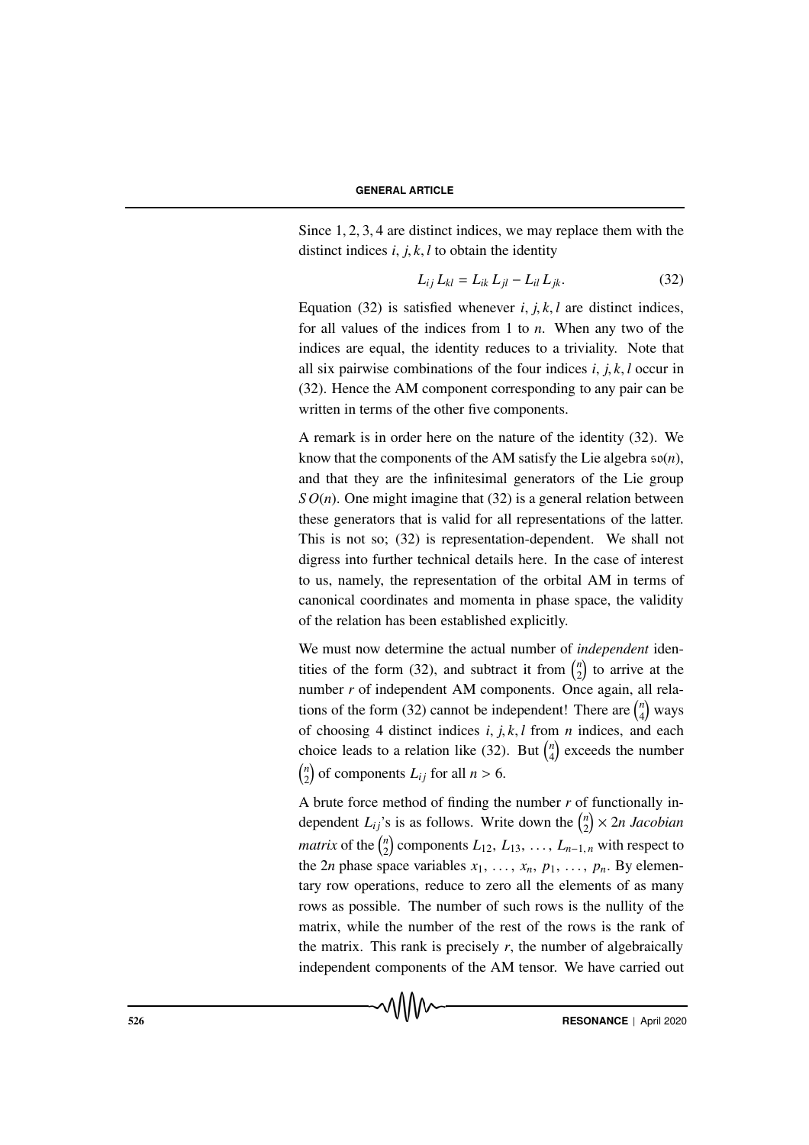Since 1, 2, 3, 4 are distinct indices, we may replace them with the distinct indices  $i, j, k, l$  to obtain the identity

$$
L_{ij} L_{kl} = L_{ik} L_{jl} - L_{il} L_{jk}.
$$
 (32)

Equation (32) is satisfied whenever *i*, *j*, *k*, *l* are distinct indices, for all values of the indices from 1 to *n*. When any two of the indices are equal, the identity reduces to a triviality. Note that all six pairwise combinations of the four indices *i*, *j*, *k*, *l* occur in (32). Hence the AM component corresponding to any pair can be written in terms of the other five components.

A remark is in order here on the nature of the identity (32). We know that the components of the AM satisfy the Lie algebra so(*n*), and that they are the infinitesimal generators of the Lie group *S O*(*n*). One might imagine that (32) is a general relation between these generators that is valid for all representations of the latter. This is not so; (32) is representation-dependent. We shall not digress into further technical details here. In the case of interest to us, namely, the representation of the orbital AM in terms of canonical coordinates and momenta in phase space, the validity of the relation has been established explicitly.

We must now determine the actual number of *independent* identities of the form (32), and subtract it from  $\binom{n}{2}$  $\binom{n}{2}$  to arrive at the number *r* of independent AM components. Once again, all relations of the form (32) cannot be independent! There are  $\binom{n}{4}$  $\binom{n}{4}$  ways of choosing 4 distinct indices *i*, *j*, *k*, *l* from *n* indices, and each choice leads to a relation like (32). But  $\binom{n}{4}$  $\binom{n}{4}$  exceeds the number *n*  $\binom{n}{2}$  of components  $L_{ij}$  for all  $n > 6$ .

A brute force method of finding the number *r* of functionally independent  $L_{ij}$ 's is as follows. Write down the  $\binom{n}{2}$ 2 × 2*n Jacobian matrix* of the  $\binom{n}{2}$  $\binom{n}{2}$  components  $L_{12}, L_{13}, \ldots, L_{n-1,n}$  with respect to the 2*n* phase space variables  $x_1, \ldots, x_n, p_1, \ldots, p_n$ . By elementary row operations, reduce to zero all the elements of as many rows as possible. The number of such rows is the nullity of the matrix, while the number of the rest of the rows is the rank of the matrix. This rank is precisely  $r$ , the number of algebraically independent components of the AM tensor. We have carried out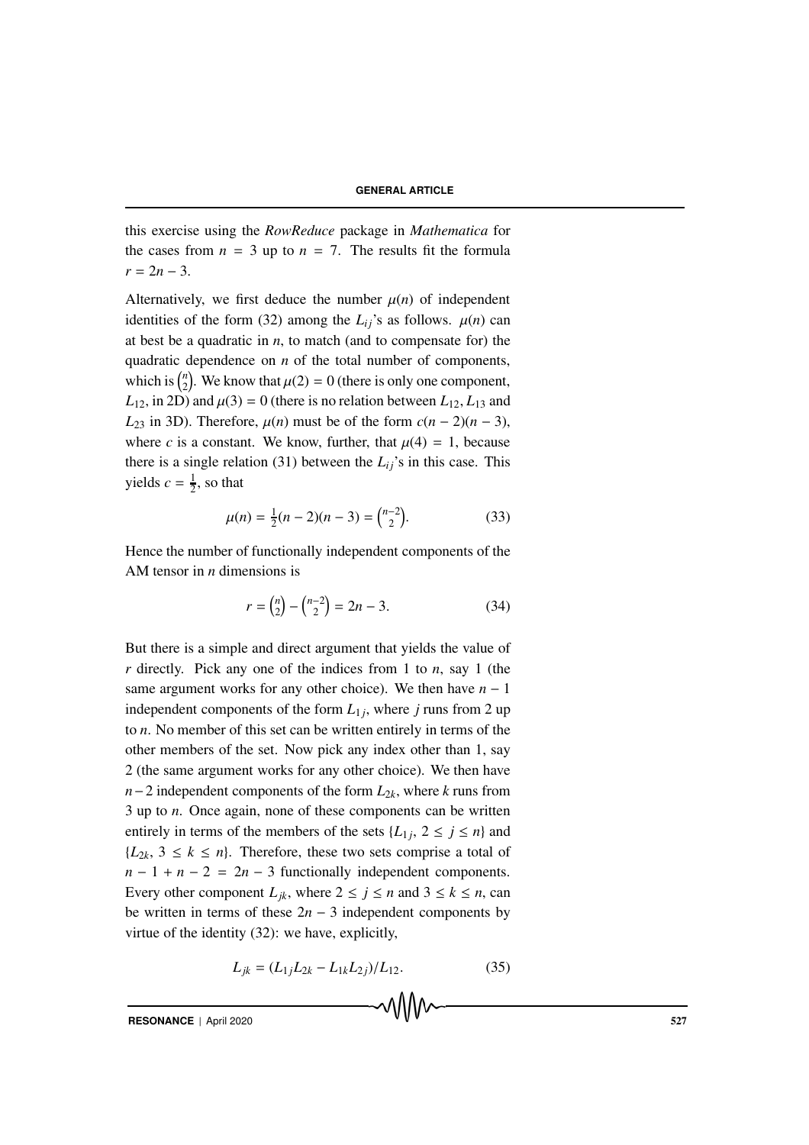this exercise using the *RowReduce* package in *Mathematica* for the cases from  $n = 3$  up to  $n = 7$ . The results fit the formula  $r = 2n - 3$ .

Alternatively, we first deduce the number  $\mu(n)$  of independent identities of the form (32) among the  $L_{ij}$ 's as follows.  $\mu(n)$  can at best be a quadratic in  $n$ , to match (and to compensate for) the quadratic dependence on *n* of the total number of components, which is  $\binom{n}{2}$ <sup>n</sup><sub>2</sub>). We know that  $\mu(2) = 0$  (there is only one component,  $L_{12}$ , in 2D) and  $\mu(3) = 0$  (there is no relation between  $L_{12}$ ,  $L_{13}$  and *L*<sub>23</sub> in 3D). Therefore,  $\mu(n)$  must be of the form  $c(n-2)(n-3)$ , where *c* is a constant. We know, further, that  $\mu(4) = 1$ , because there is a single relation (31) between the  $L_{ij}$ 's in this case. This yields  $c = \frac{1}{2}$ , so that

$$
\mu(n) = \frac{1}{2}(n-2)(n-3) = \binom{n-2}{2}.
$$
\n(33)

Hence the number of functionally independent components of the AM tensor in *n* dimensions is

$$
r = \binom{n}{2} - \binom{n-2}{2} = 2n - 3. \tag{34}
$$

But there is a simple and direct argument that yields the value of *r* directly. Pick any one of the indices from 1 to *n*, say 1 (the same argument works for any other choice). We then have  $n - 1$ independent components of the form  $L_{1i}$ , where *j* runs from 2 up to *n*. No member of this set can be written entirely in terms of the other members of the set. Now pick any index other than 1, say 2 (the same argument works for any other choice). We then have *n*−2 independent components of the form  $L_{2k}$ , where *k* runs from 3 up to *n*. Once again, none of these components can be written entirely in terms of the members of the sets  $\{L_1, 2 \le j \le n\}$  and  ${L_{2k}$ ,  $3 \le k \le n}$ . Therefore, these two sets comprise a total of  $n-1 + n-2 = 2n-3$  functionally independent components. Every other component  $L_{ik}$ , where  $2 \le j \le n$  and  $3 \le k \le n$ , can be written in terms of these  $2n - 3$  independent components by virtue of the identity (32): we have, explicitly,

$$
L_{jk} = (L_{1j}L_{2k} - L_{1k}L_{2j})/L_{12}.
$$
 (35)

**RESONANCE** | April 2020 527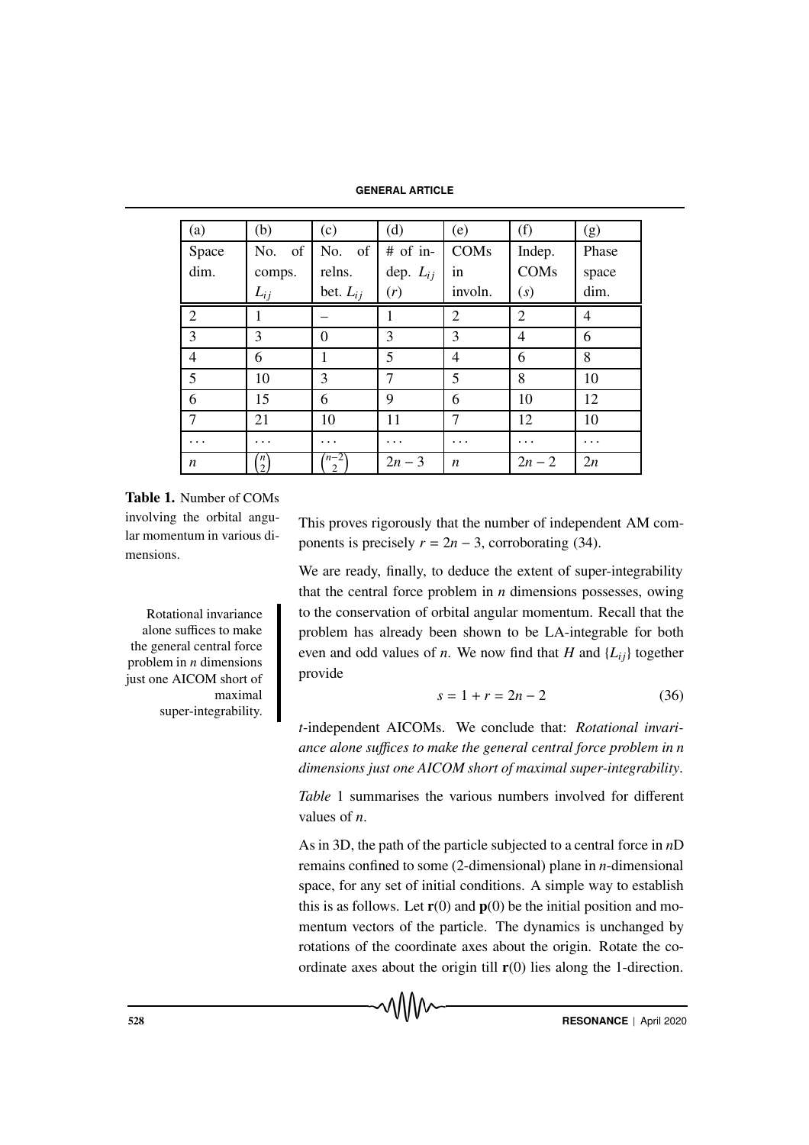**GENERAL ARTICLE**

| (a)            | (b)                  | (c)                    | (d)           | (e)            | (f)            | (g)   |
|----------------|----------------------|------------------------|---------------|----------------|----------------|-------|
| Space          | of<br>No.            | <sub>of</sub><br>No.   | # of in-      | COMs           | Indep.         | Phase |
| dim.           | comps.               | relns.                 | dep. $L_{ij}$ | in             | COMs           | space |
|                | $L_{ij}$             | bet. $L_{ij}$          | (r)           | involn.        | (s)            | dim.  |
| $\overline{2}$ |                      |                        |               | $\overline{2}$ | $\overline{2}$ | 4     |
| 3              | 3                    | $\theta$               | 3             | 3              | 4              | 6     |
| $\overline{4}$ | 6                    | 1                      | 5             | $\overline{4}$ | 6              | 8     |
| 5              | 10                   | 3                      | $\tau$        | 5              | 8              | 10    |
| 6              | 15                   | 6                      | 9             | 6              | 10             | 12    |
| $\overline{7}$ | 21                   | 10                     | 11            | 7              | 12             | 10    |
| .              | .                    | .                      | .             |                |                | .     |
| n              | 'n<br>$\overline{2}$ | $n-2$<br>$\mathcal{D}$ | $2n - 3$      | n              | $2n - 2$       | 2n    |

Table 1. Number of COMs involving the orbital angular momentum in various dimensions.

alone suffices to make the general central force problem in *n* dimensions just one AICOM short of maximal super-integrability. This proves rigorously that the number of independent AM components is precisely  $r = 2n - 3$ , corroborating (34).

We are ready, finally, to deduce the extent of super-integrability that the central force problem in *n* dimensions possesses, owing Rotational invariance to the conservation of orbital angular momentum. Recall that the problem has already been shown to be LA-integrable for both even and odd values of *n*. We now find that *H* and  $\{L_{ij}\}\$ together provide

$$
s = 1 + r = 2n - 2 \tag{36}
$$

*t*-independent AICOMs. We conclude that: *Rotational invariance alone su*ffi*ces to make the general central force problem in n dimensions just one AICOM short of maximal super-integrability*.

*Table* 1 summarises the various numbers involved for different values of *n*.

As in 3D, the path of the particle subjected to a central force in *n*D remains confined to some (2-dimensional) plane in *n*-dimensional space, for any set of initial conditions. A simple way to establish this is as follows. Let  $r(0)$  and  $p(0)$  be the initial position and momentum vectors of the particle. The dynamics is unchanged by rotations of the coordinate axes about the origin. Rotate the coordinate axes about the origin till  $r(0)$  lies along the 1-direction.

MMM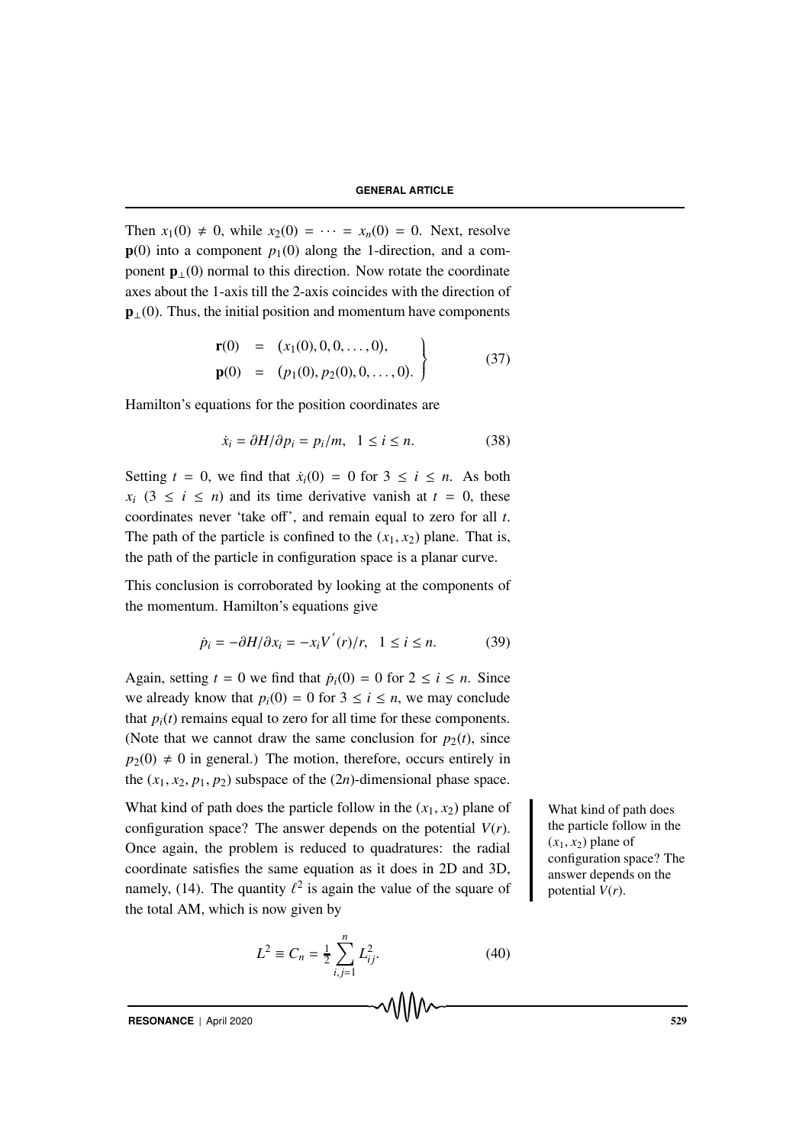Then  $x_1(0) \neq 0$ , while  $x_2(0) = \cdots = x_n(0) = 0$ . Next, resolve  $p(0)$  into a component  $p_1(0)$  along the 1-direction, and a component  $\mathbf{p}_{\perp}(0)$  normal to this direction. Now rotate the coordinate axes about the 1-axis till the 2-axis coincides with the direction of  $\mathbf{p}_{\perp}(0)$ . Thus, the initial position and momentum have components

$$
\mathbf{r}(0) = (x_1(0), 0, 0, \dots, 0), \n\mathbf{p}(0) = (p_1(0), p_2(0), 0, \dots, 0). \qquad (37)
$$

Hamilton's equations for the position coordinates are

$$
\dot{x}_i = \partial H/\partial p_i = p_i/m, \quad 1 \le i \le n. \tag{38}
$$

Setting  $t = 0$ , we find that  $\dot{x}_i(0) = 0$  for  $3 \le i \le n$ . As both  $x_i$  (3  $\le i \le n$ ) and its time derivative vanish at  $t = 0$ , these coordinates never 'take off', and remain equal to zero for all *t*. The path of the particle is confined to the  $(x_1, x_2)$  plane. That is, the path of the particle in configuration space is a planar curve.

This conclusion is corroborated by looking at the components of the momentum. Hamilton's equations give

$$
\dot{p}_i = -\partial H/\partial x_i = -x_i V^{'}(r)/r, \quad 1 \le i \le n. \tag{39}
$$

Again, setting  $t = 0$  we find that  $\dot{p}_i(0) = 0$  for  $2 \le i \le n$ . Since we already know that  $p_i(0) = 0$  for  $3 \le i \le n$ , we may conclude that  $p_i(t)$  remains equal to zero for all time for these components. (Note that we cannot draw the same conclusion for  $p_2(t)$ , since  $p_2(0) \neq 0$  in general.) The motion, therefore, occurs entirely in the  $(x_1, x_2, p_1, p_2)$  subspace of the  $(2n)$ -dimensional phase space.

What kind of path does the particle follow in the  $(x_1, x_2)$  plane of What kind of path does configuration space? The answer depends on the potential  $V(r)$ . Once again, the problem is reduced to quadratures: the radial coordinate satisfies the same equation as it does in 2D and 3D, namely, (14). The quantity  $\ell^2$  is again the value of the square of the total AM, which is now given by

$$
L^2 \equiv C_n = \frac{1}{2} \sum_{i,j=1}^n L_{ij}^2.
$$
 (40)

the particle follow in the  $(x_1, x_2)$  plane of configuration space? The answer depends on the potential *V*(*r*).

**RESONANCE** | April 2020 529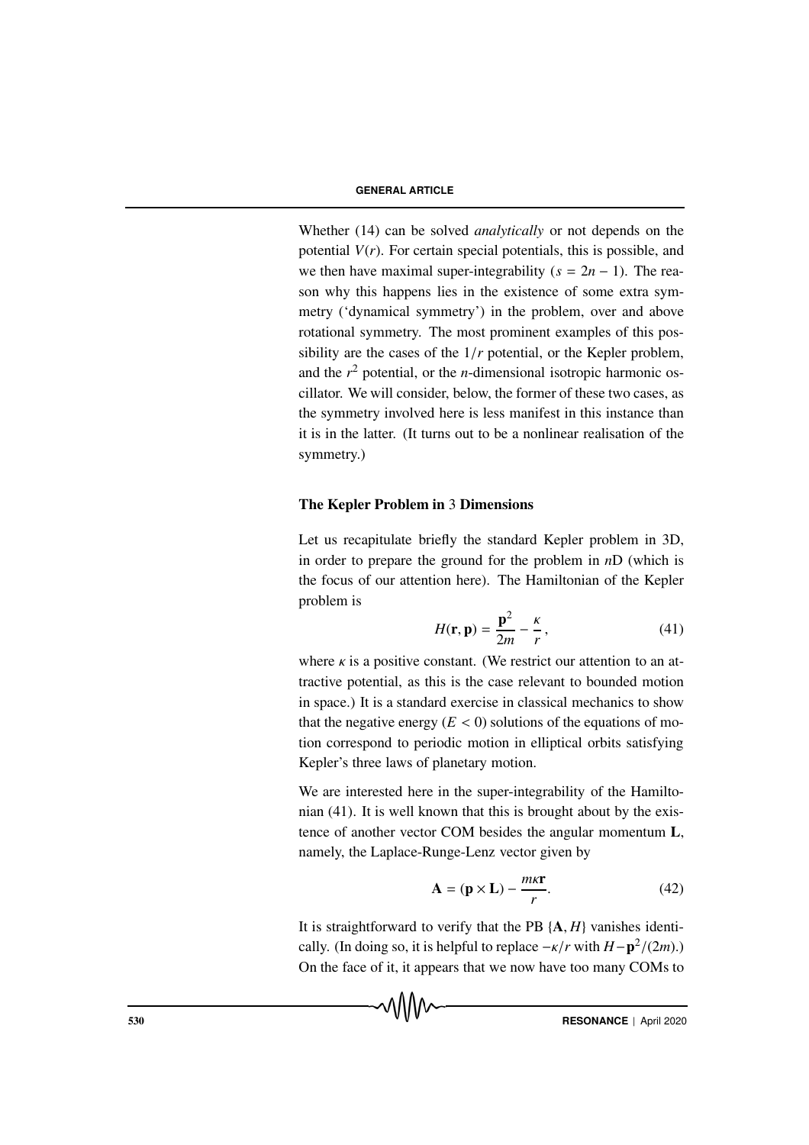Whether (14) can be solved *analytically* or not depends on the potential  $V(r)$ . For certain special potentials, this is possible, and we then have maximal super-integrability  $(s = 2n - 1)$ . The reason why this happens lies in the existence of some extra symmetry ('dynamical symmetry') in the problem, over and above rotational symmetry. The most prominent examples of this possibility are the cases of the 1/*r* potential, or the Kepler problem, and the  $r^2$  potential, or the *n*-dimensional isotropic harmonic oscillator. We will consider, below, the former of these two cases, as the symmetry involved here is less manifest in this instance than it is in the latter. (It turns out to be a nonlinear realisation of the symmetry.)

# The Kepler Problem in 3 Dimensions

Let us recapitulate briefly the standard Kepler problem in 3D, in order to prepare the ground for the problem in *n*D (which is the focus of our attention here). The Hamiltonian of the Kepler problem is

$$
H(\mathbf{r}, \mathbf{p}) = \frac{\mathbf{p}^2}{2m} - \frac{\kappa}{r},\tag{41}
$$

where  $\kappa$  is a positive constant. (We restrict our attention to an attractive potential, as this is the case relevant to bounded motion in space.) It is a standard exercise in classical mechanics to show that the negative energy  $(E < 0)$  solutions of the equations of motion correspond to periodic motion in elliptical orbits satisfying Kepler's three laws of planetary motion.

We are interested here in the super-integrability of the Hamiltonian (41). It is well known that this is brought about by the existence of another vector COM besides the angular momentum L, namely, the Laplace-Runge-Lenz vector given by

$$
\mathbf{A} = (\mathbf{p} \times \mathbf{L}) - \frac{m\kappa \mathbf{r}}{r}.
$$
 (42)

It is straightforward to verify that the PB {A, *H*} vanishes identically. (In doing so, it is helpful to replace  $-\kappa/r$  with  $H-p^2/(2m)$ .) On the face of it, it appears that we now have too many COMs to

√∖∧∧∼

530 **RESONANCE** | April 2020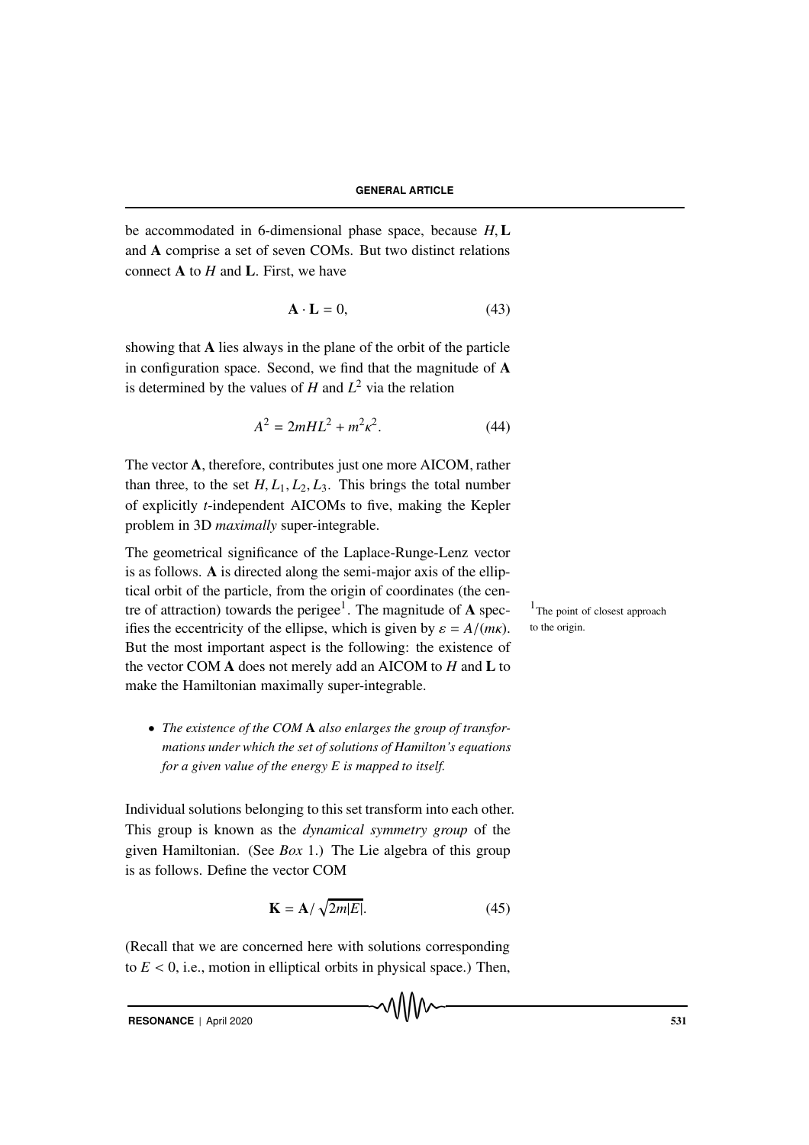be accommodated in 6-dimensional phase space, because *H*, L and A comprise a set of seven COMs. But two distinct relations connect A to *H* and L. First, we have

$$
\mathbf{A} \cdot \mathbf{L} = 0,\tag{43}
$$

showing that A lies always in the plane of the orbit of the particle in configuration space. Second, we find that the magnitude of A is determined by the values of  $H$  and  $L^2$  via the relation

$$
A^2 = 2mHL^2 + m^2\kappa^2.
$$
 (44)

The vector A, therefore, contributes just one more AICOM, rather than three, to the set  $H, L_1, L_2, L_3$ . This brings the total number of explicitly *t*-independent AICOMs to five, making the Kepler problem in 3D *maximally* super-integrable.

The geometrical significance of the Laplace-Runge-Lenz vector is as follows. A is directed along the semi-major axis of the elliptical orbit of the particle, from the origin of coordinates (the centre of attraction) towards the perigee<sup>1</sup>. The magnitude of  $A$  spec-  $1$ The point of closest approach ifies the eccentricity of the ellipse, which is given by  $\varepsilon = A/(m\kappa)$ . But the most important aspect is the following: the existence of the vector COM A does not merely add an AICOM to *H* and L to make the Hamiltonian maximally super-integrable.

• *The existence of the COM* A *also enlarges the group of transformations under which the set of solutions of Hamilton's equations for a given value of the energy E is mapped to itself.*

Individual solutions belonging to this set transform into each other. This group is known as the *dynamical symmetry group* of the given Hamiltonian. (See *Box* 1.) The Lie algebra of this group is as follows. Define the vector COM

$$
\mathbf{K} = \mathbf{A} / \sqrt{2m|E|}. \tag{45}
$$

(Recall that we are concerned here with solutions corresponding to  $E < 0$ , i.e., motion in elliptical orbits in physical space.) Then, to the origin.

**RESONANCE** | April 2020 531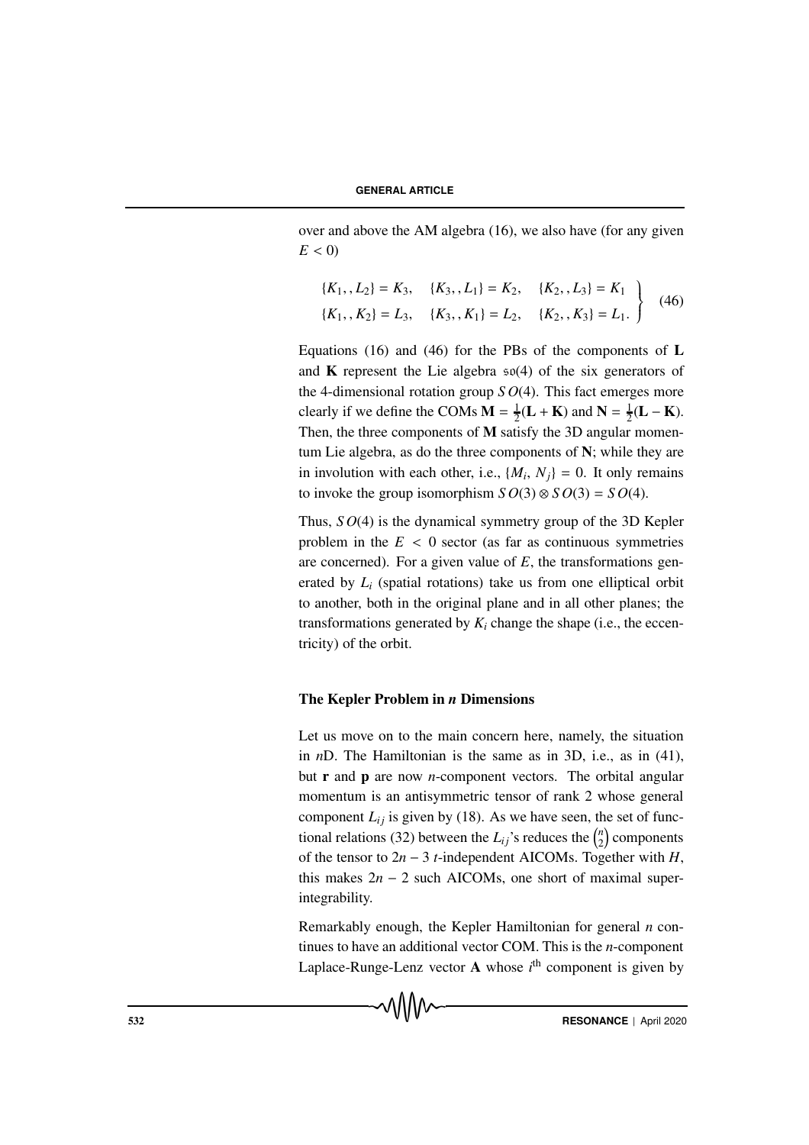over and above the AM algebra (16), we also have (for any given  $E < 0$ )

$$
\{K_1, L_2\} = K_3, \quad \{K_3, L_1\} = K_2, \quad \{K_2, L_3\} = K_1
$$
\n
$$
\{K_1, K_2\} = L_3, \quad \{K_3, K_1\} = L_2, \quad \{K_2, K_3\} = L_1.
$$
\n(46)

Equations (16) and (46) for the PBs of the components of  $L$ and  $\bf{K}$  represent the Lie algebra  $\frak{so}(4)$  of the six generators of the 4-dimensional rotation group *S O*(4). This fact emerges more clearly if we define the COMs  $\mathbf{M} = \frac{1}{2}(\mathbf{L} + \mathbf{K})$  and  $\mathbf{N} = \frac{1}{2}(\mathbf{L} - \mathbf{K})$ . Then, the three components of M satisfy the 3D angular momentum Lie algebra, as do the three components of N; while they are in involution with each other, i.e.,  $\{M_i, N_i\} = 0$ . It only remains to invoke the group isomorphism  $SO(3) \otimes SO(3) = SO(4)$ .

Thus, *S O*(4) is the dynamical symmetry group of the 3D Kepler problem in the  $E < 0$  sector (as far as continuous symmetries are concerned). For a given value of *E*, the transformations generated by *Li* (spatial rotations) take us from one elliptical orbit to another, both in the original plane and in all other planes; the transformations generated by  $K_i$  change the shape (i.e., the eccentricity) of the orbit.

# The Kepler Problem in *n* Dimensions

Let us move on to the main concern here, namely, the situation in *n*D. The Hamiltonian is the same as in 3D, i.e., as in (41), but r and p are now *n*-component vectors. The orbital angular momentum is an antisymmetric tensor of rank 2 whose general component  $L_{ij}$  is given by (18). As we have seen, the set of functional relations (32) between the  $L_{ij}$ 's reduces the  $\binom{n}{2}$  $\binom{n}{2}$  components of the tensor to  $2n − 3$  *t*-independent AICOMs. Together with *H*, this makes  $2n - 2$  such AICOMs, one short of maximal superintegrability.

Remarkably enough, the Kepler Hamiltonian for general *n* continues to have an additional vector COM. This is the *n*-component Laplace-Runge-Lenz vector A whose *i*<sup>th</sup> component is given by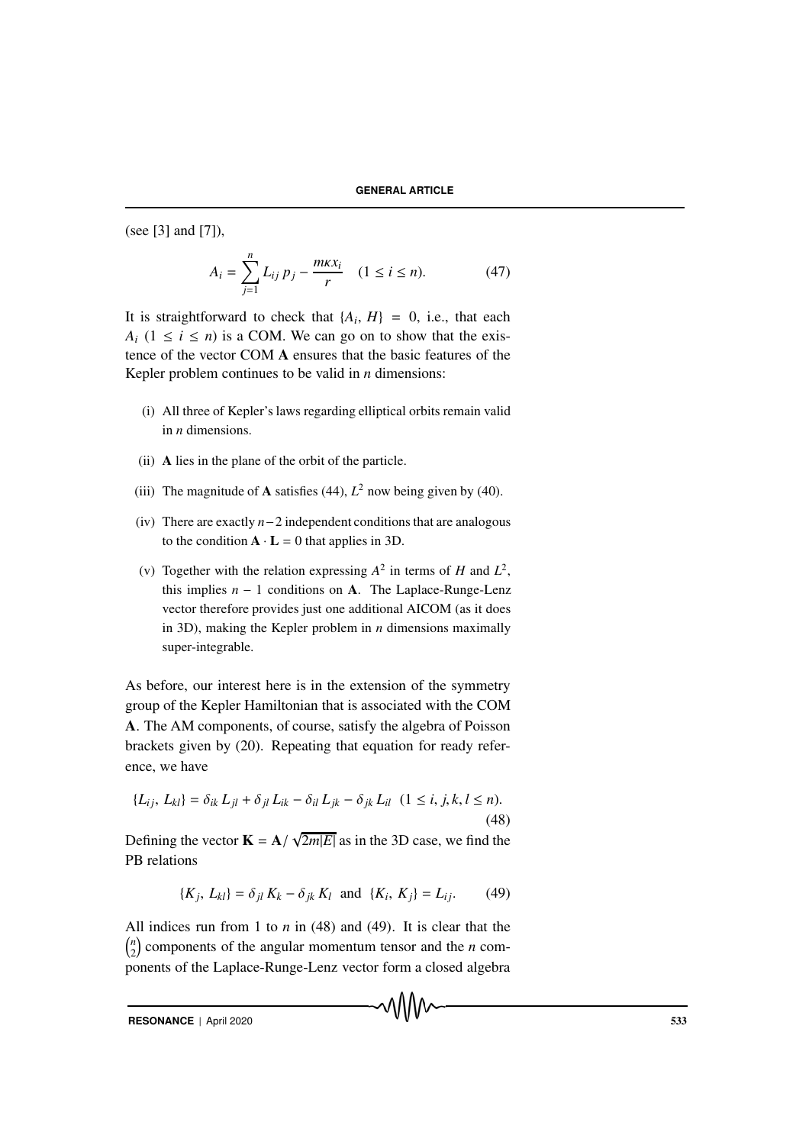(see [3] and [7]),

$$
A_i = \sum_{j=1}^{n} L_{ij} p_j - \frac{m\kappa x_i}{r} \quad (1 \le i \le n). \tag{47}
$$

It is straightforward to check that  $\{A_i, H\} = 0$ , i.e., that each  $A_i$  (1  $\leq i \leq n$ ) is a COM. We can go on to show that the existence of the vector COM A ensures that the basic features of the Kepler problem continues to be valid in *n* dimensions:

- (i) All three of Kepler's laws regarding elliptical orbits remain valid in *n* dimensions.
- (ii) A lies in the plane of the orbit of the particle.
- (iii) The magnitude of **A** satisfies (44),  $L^2$  now being given by (40).
- (iv) There are exactly *n*−2 independent conditions that are analogous to the condition  $\mathbf{A} \cdot \mathbf{L} = 0$  that applies in 3D.
- (v) Together with the relation expressing  $A^2$  in terms of *H* and  $L^2$ , this implies  $n - 1$  conditions on A. The Laplace-Runge-Lenz vector therefore provides just one additional AICOM (as it does in 3D), making the Kepler problem in *n* dimensions maximally super-integrable.

As before, our interest here is in the extension of the symmetry group of the Kepler Hamiltonian that is associated with the COM A. The AM components, of course, satisfy the algebra of Poisson brackets given by (20). Repeating that equation for ready reference, we have

$$
\{L_{ij}, L_{kl}\} = \delta_{ik} L_{jl} + \delta_{jl} L_{ik} - \delta_{il} L_{jk} - \delta_{jk} L_{il} \ (1 \le i, j, k, l \le n). \tag{48}
$$

Defining the vector  $\mathbf{K} = \mathbf{A}/$  $\sqrt{2m|E|}$  as in the 3D case, we find the PB relations

$$
\{K_j, L_{kl}\} = \delta_{jl} K_k - \delta_{jk} K_l \text{ and } \{K_i, K_j\} = L_{ij}.
$$
 (49)

All indices run from 1 to *n* in (48) and (49). It is clear that the *n*  $\binom{n}{2}$  components of the angular momentum tensor and the *n* components of the Laplace-Runge-Lenz vector form a closed algebra

**RESONANCE** | April 2020 533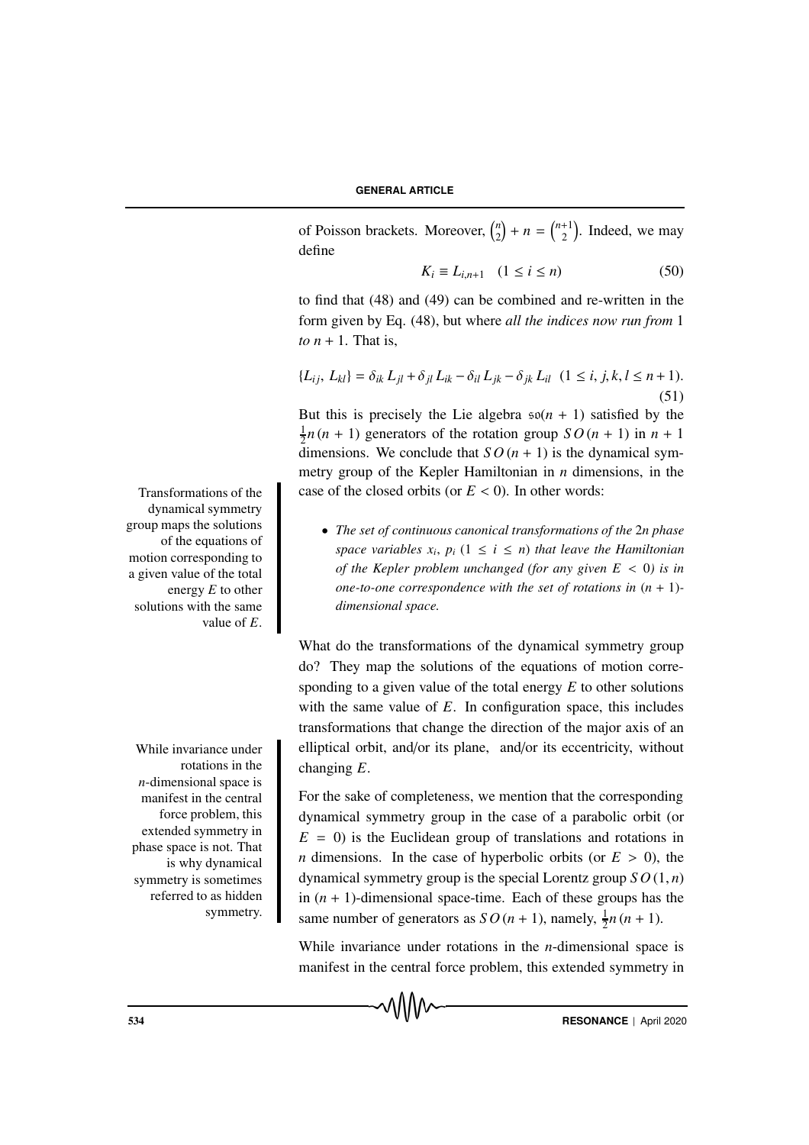of Poisson brackets. Moreover,  $\binom{n}{2}$  $\binom{n}{2} + n = \binom{n+1}{2}$  $\binom{+1}{2}$ . Indeed, we may define

$$
K_i \equiv L_{i,n+1} \quad (1 \le i \le n) \tag{50}
$$

to find that (48) and (49) can be combined and re-written in the form given by Eq. (48), but where *all the indices now run from* 1 *to*  $n + 1$ . That is,

$$
\{L_{ij}, L_{kl}\} = \delta_{ik} L_{jl} + \delta_{jl} L_{ik} - \delta_{il} L_{jk} - \delta_{jk} L_{il} \ (1 \le i, j, k, l \le n+1).
$$
\n(51)

But this is precisely the Lie algebra  $\mathfrak{so}(n + 1)$  satisfied by the  $\frac{1}{2}n(n + 1)$  generators of the rotation group  $SO(n + 1)$  in  $n + 1$ dimensions. We conclude that  $SO(n + 1)$  is the dynamical symmetry group of the Kepler Hamiltonian in *n* dimensions, in the Transformations of the case of the closed orbits (or  $E < 0$ ). In other words:

> • *The set of continuous canonical transformations of the* 2*n phase space variables*  $x_i$ ,  $p_i$  ( $1 \le i \le n$ ) *that leave the Hamiltonian of the Kepler problem unchanged (for any given E* < 0*) is in one-to-one correspondence with the set of rotations in*  $(n + 1)$ *dimensional space.*

What do the transformations of the dynamical symmetry group do? They map the solutions of the equations of motion corresponding to a given value of the total energy *E* to other solutions with the same value of *E*. In configuration space, this includes transformations that change the direction of the major axis of an While invariance under elliptical orbit, and/or its plane, and/or its eccentricity, without changing *E*.

> For the sake of completeness, we mention that the corresponding dynamical symmetry group in the case of a parabolic orbit (or  $E = 0$ ) is the Euclidean group of translations and rotations in *n* dimensions. In the case of hyperbolic orbits (or  $E > 0$ ), the dynamical symmetry group is the special Lorentz group *S O* (1, *n*) in  $(n + 1)$ -dimensional space-time. Each of these groups has the same number of generators as  $SO(n + 1)$ , namely,  $\frac{1}{2}n(n + 1)$ .

> While invariance under rotations in the *n*-dimensional space is manifest in the central force problem, this extended symmetry in

of the equations of motion corresponding to a given value of the total energy *E* to other solutions with the same value of *E*.

dynamical symmetry group maps the solutions

rotations in the *n*-dimensional space is manifest in the central force problem, this extended symmetry in phase space is not. That is why dynamical symmetry is sometimes referred to as hidden symmetry.

534 **RESONANCE** | April 2020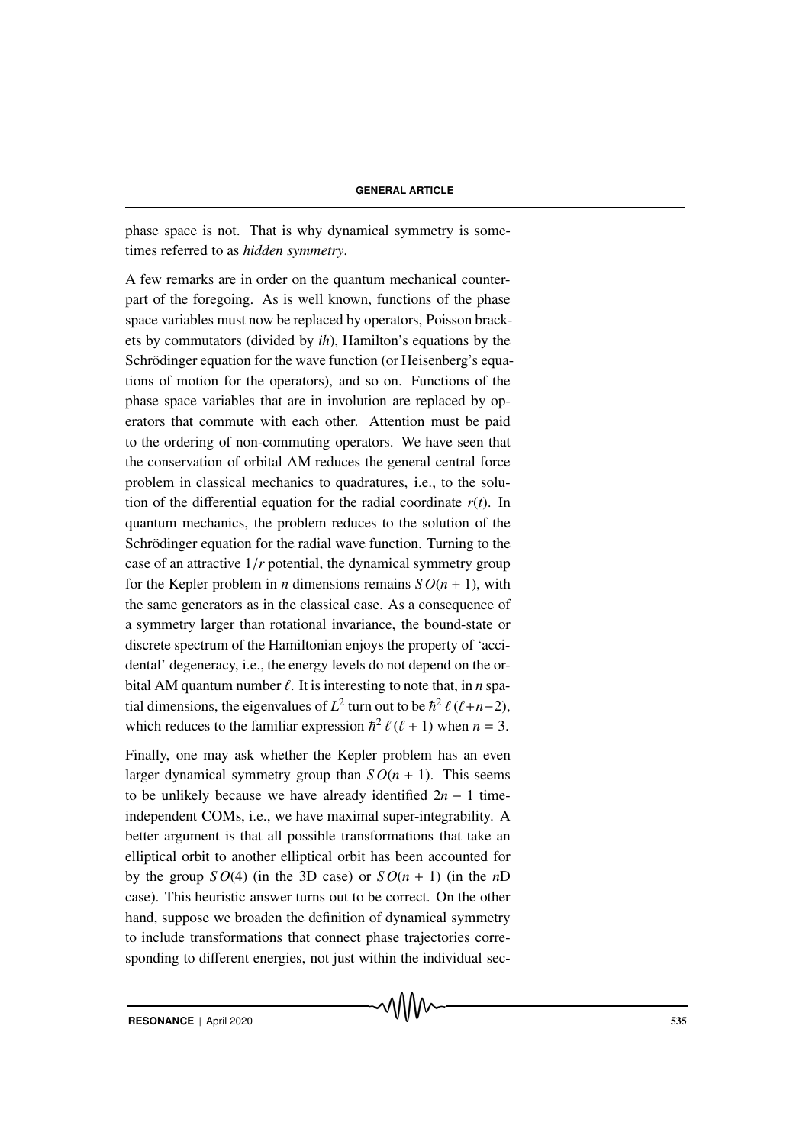phase space is not. That is why dynamical symmetry is sometimes referred to as *hidden symmetry*.

A few remarks are in order on the quantum mechanical counterpart of the foregoing. As is well known, functions of the phase space variables must now be replaced by operators, Poisson brackets by commutators (divided by  $i\hbar$ ), Hamilton's equations by the Schrödinger equation for the wave function (or Heisenberg's equations of motion for the operators), and so on. Functions of the phase space variables that are in involution are replaced by operators that commute with each other. Attention must be paid to the ordering of non-commuting operators. We have seen that the conservation of orbital AM reduces the general central force problem in classical mechanics to quadratures, i.e., to the solution of the differential equation for the radial coordinate  $r(t)$ . In quantum mechanics, the problem reduces to the solution of the Schrödinger equation for the radial wave function. Turning to the case of an attractive 1/*r* potential, the dynamical symmetry group for the Kepler problem in *n* dimensions remains  $SO(n + 1)$ , with the same generators as in the classical case. As a consequence of a symmetry larger than rotational invariance, the bound-state or discrete spectrum of the Hamiltonian enjoys the property of 'accidental' degeneracy, i.e., the energy levels do not depend on the orbital AM quantum number  $\ell$ . It is interesting to note that, in *n* spatial dimensions, the eigenvalues of  $L^2$  turn out to be  $\hbar^2 \ell (\ell+n-2)$ , which reduces to the familiar expression  $\hbar^2 \ell (\ell + 1)$  when  $n = 3$ .

Finally, one may ask whether the Kepler problem has an even larger dynamical symmetry group than  $SO(n + 1)$ . This seems to be unlikely because we have already identified 2*n* − 1 timeindependent COMs, i.e., we have maximal super-integrability. A better argument is that all possible transformations that take an elliptical orbit to another elliptical orbit has been accounted for by the group  $SO(4)$  (in the 3D case) or  $SO(n + 1)$  (in the *n*D case). This heuristic answer turns out to be correct. On the other hand, suppose we broaden the definition of dynamical symmetry to include transformations that connect phase trajectories corresponding to different energies, not just within the individual sec-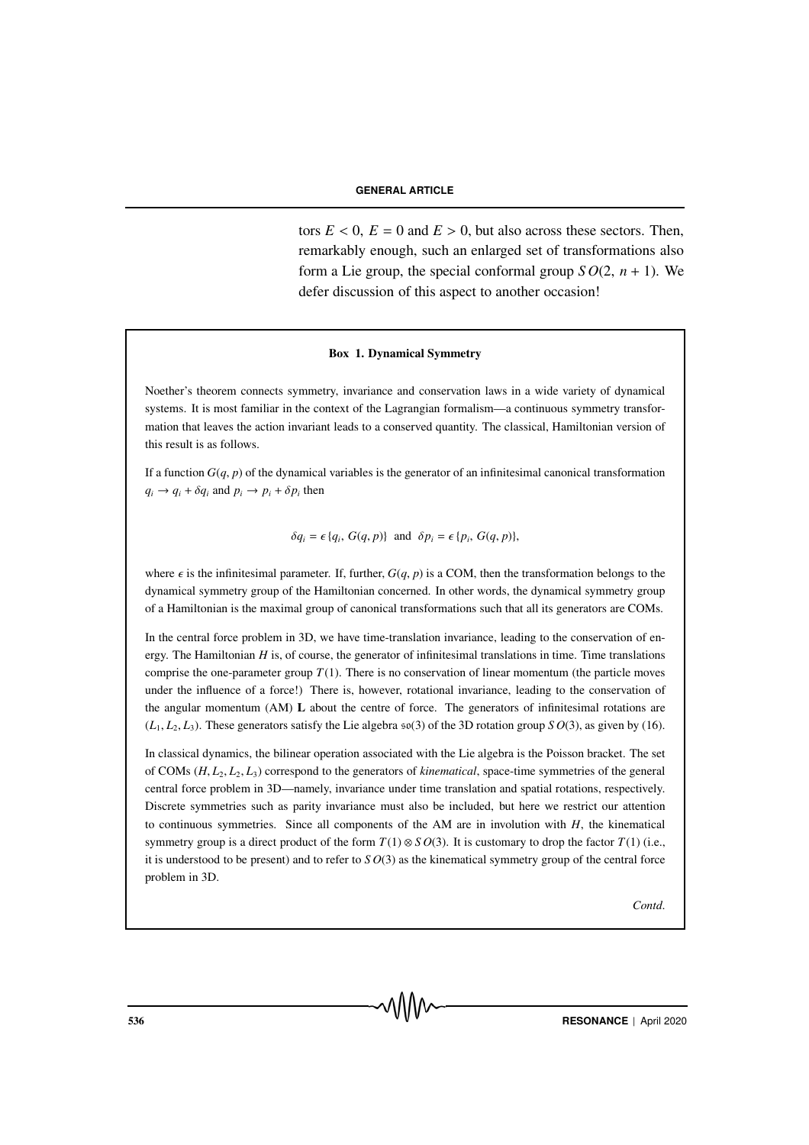#### **GENERAL ARTICLE**

tors  $E < 0$ ,  $E = 0$  and  $E > 0$ , but also across these sectors. Then, remarkably enough, such an enlarged set of transformations also form a Lie group, the special conformal group  $SO(2, n + 1)$ . We defer discussion of this aspect to another occasion!

#### Box 1. Dynamical Symmetry

Noether's theorem connects symmetry, invariance and conservation laws in a wide variety of dynamical systems. It is most familiar in the context of the Lagrangian formalism—a continuous symmetry transformation that leaves the action invariant leads to a conserved quantity. The classical, Hamiltonian version of this result is as follows.

If a function  $G(q, p)$  of the dynamical variables is the generator of an infinitesimal canonical transformation  $q_i \rightarrow q_i + \delta q_i$  and  $p_i \rightarrow p_i + \delta p_i$  then

 $\delta q_i = \epsilon \{q_i, G(q, p)\}$  and  $\delta p_i = \epsilon \{p_i, G(q, p)\},$ 

where  $\epsilon$  is the infinitesimal parameter. If, further,  $G(q, p)$  is a COM, then the transformation belongs to the dynamical symmetry group of the Hamiltonian concerned. In other words, the dynamical symmetry group of a Hamiltonian is the maximal group of canonical transformations such that all its generators are COMs.

In the central force problem in 3D, we have time-translation invariance, leading to the conservation of energy. The Hamiltonian *H* is, of course, the generator of infinitesimal translations in time. Time translations comprise the one-parameter group  $T(1)$ . There is no conservation of linear momentum (the particle moves under the influence of a force!) There is, however, rotational invariance, leading to the conservation of the angular momentum (AM) L about the centre of force. The generators of infinitesimal rotations are  $(L_1, L_2, L_3)$ . These generators satisfy the Lie algebra  $\mathfrak{so}(3)$  of the 3D rotation group *S O*(3), as given by (16).

In classical dynamics, the bilinear operation associated with the Lie algebra is the Poisson bracket. The set of COMs (*H*, *L*2, *L*2, *L*3) correspond to the generators of *kinematical*, space-time symmetries of the general central force problem in 3D—namely, invariance under time translation and spatial rotations, respectively. Discrete symmetries such as parity invariance must also be included, but here we restrict our attention to continuous symmetries. Since all components of the AM are in involution with  $H$ , the kinematical symmetry group is a direct product of the form  $T(1) \otimes S O(3)$ . It is customary to drop the factor  $T(1)$  (i.e., it is understood to be present) and to refer to  $SO(3)$  as the kinematical symmetry group of the central force problem in 3D.

*Contd*.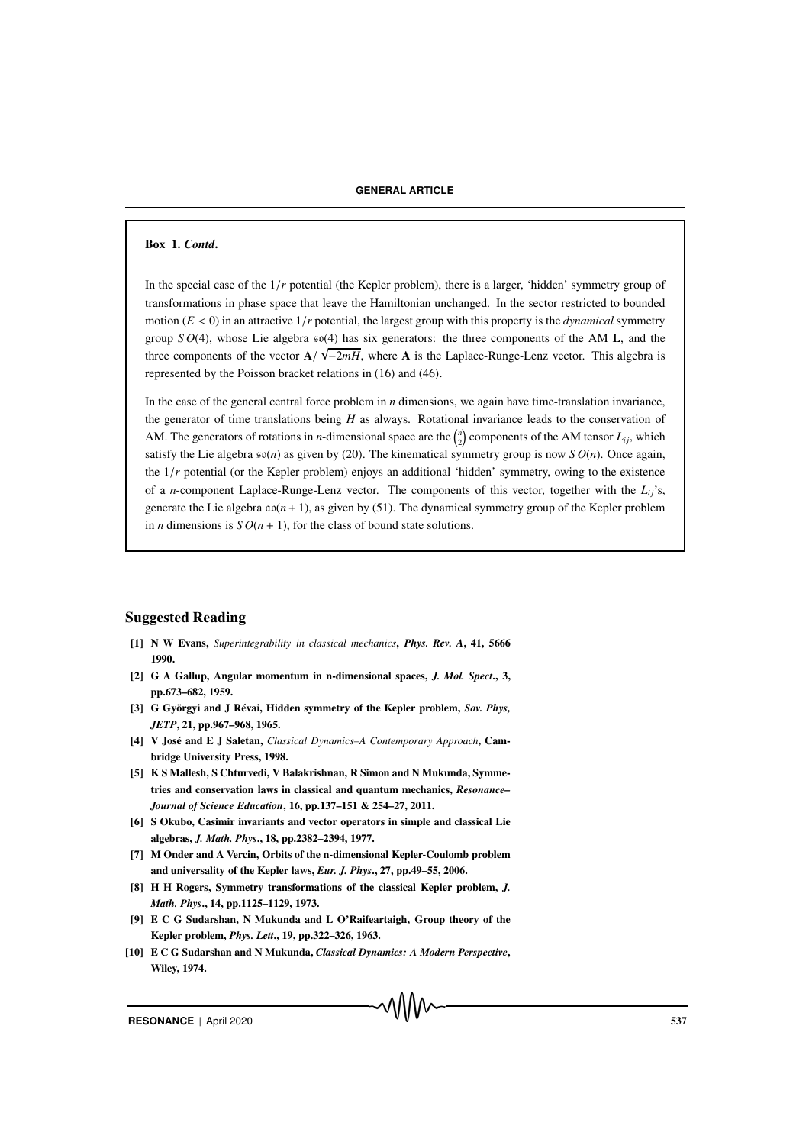### Box 1. *Contd*.

In the special case of the 1/*r* potential (the Kepler problem), there is a larger, 'hidden' symmetry group of transformations in phase space that leave the Hamiltonian unchanged. In the sector restricted to bounded motion  $(E < 0)$  in an attractive  $1/r$  potential, the largest group with this property is the *dynamical* symmetry group *S O*(4), whose Lie algebra  $\mathfrak{so}(4)$  has six generators: the three components of the AM **L**, and the three components of the vector  $A/\sqrt{-2mH}$ , where A is the Laplace-Runge-Lenz vector. This algebra is represented by the Poisson bracket relations in (16) and (46).

In the case of the general central force problem in *n* dimensions, we again have time-translation invariance, the generator of time translations being *H* as always. Rotational invariance leads to the conservation of AM. The generators of rotations in *n*-dimensional space are the  $\binom{n}{2}$  components of the AM tensor  $L_{ij}$ , which satisfy the Lie algebra  $\mathfrak{so}(n)$  as given by (20). The kinematical symmetry group is now  $SO(n)$ . Once again, the  $1/r$  potential (or the Kepler problem) enjoys an additional 'hidden' symmetry, owing to the existence of a *n*-component Laplace-Runge-Lenz vector. The components of this vector, together with the  $L_i$ 's, generate the Lie algebra  $a\omega(n + 1)$ , as given by (51). The dynamical symmetry group of the Kepler problem in *n* dimensions is  $SO(n + 1)$ , for the class of bound state solutions.

### Suggested Reading

- [1] N W Evans, *Superintegrability in classical mechanics*, *Phys. Rev. A*, 41, 5666 1990.
- [2] G A Gallup, Angular momentum in n-dimensional spaces, *J. Mol. Spect*., 3, pp.673–682, 1959.
- [3] G Györgyi and J Révai, Hidden symmetry of the Kepler problem, *Sov. Phys, JETP*, 21, pp.967–968, 1965.
- [4] V José and E J Saletan, *Classical Dynamics–A Contemporary Approach*, Cambridge University Press, 1998.
- [5] K S Mallesh, S Chturvedi, V Balakrishnan, R Simon and N Mukunda, Symmetries and conservation laws in classical and quantum mechanics, *Resonance– Journal of Science Education*, 16, pp.137–151 & 254–27, 2011.
- [6] S Okubo, Casimir invariants and vector operators in simple and classical Lie algebras, *J. Math. Phys*., 18, pp.2382–2394, 1977.
- [7] M Onder and A Vercin, Orbits of the n-dimensional Kepler-Coulomb problem and universality of the Kepler laws, *Eur. J. Phys*., 27, pp.49–55, 2006.
- [8] H H Rogers, Symmetry transformations of the classical Kepler problem, *J. Math. Phys*., 14, pp.1125–1129, 1973.
- [9] E C G Sudarshan, N Mukunda and L O'Raifeartaigh, Group theory of the Kepler problem, *Phys. Lett*., 19, pp.322–326, 1963.
- [10] E C G Sudarshan and N Mukunda, *Classical Dynamics: A Modern Perspective*, Wiley, 1974.